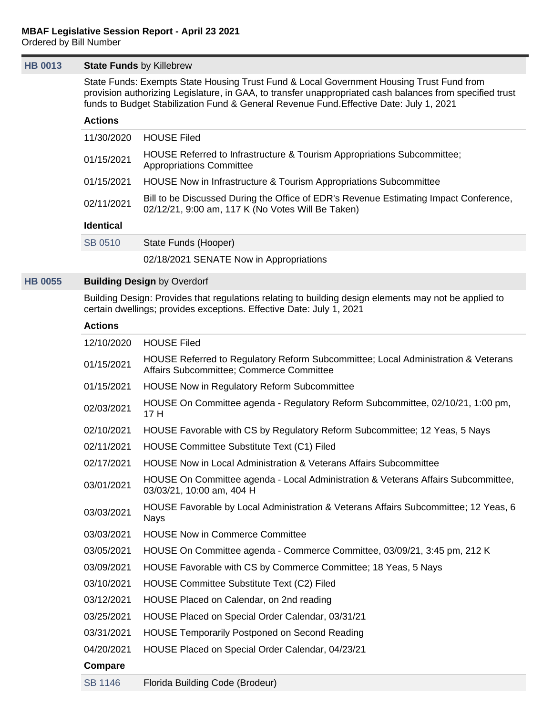#### **[HB 0013](https://public.lobbytools.com/bills/56263) State Funds** by Killebrew

State Funds: Exempts State Housing Trust Fund & Local Government Housing Trust Fund from provision authorizing Legislature, in GAA, to transfer unappropriated cash balances from specified trust funds to Budget Stabilization Fund & General Revenue Fund.Effective Date: July 1, 2021

## **Actions**

| 11/30/2020       | <b>HOUSE Filed</b>                                                                                                                         |
|------------------|--------------------------------------------------------------------------------------------------------------------------------------------|
| 01/15/2021       | HOUSE Referred to Infrastructure & Tourism Appropriations Subcommittee;<br><b>Appropriations Committee</b>                                 |
| 01/15/2021       | HOUSE Now in Infrastructure & Tourism Appropriations Subcommittee                                                                          |
| 02/11/2021       | Bill to be Discussed During the Office of EDR's Revenue Estimating Impact Conference,<br>02/12/21, 9:00 am, 117 K (No Votes Will Be Taken) |
| <b>Identical</b> |                                                                                                                                            |

| State Funds (Hooper) |
|----------------------|
|                      |

02/18/2021 SENATE Now in Appropriations

## **[HB 0055](https://public.lobbytools.com/bills/56345) Building Design** by Overdorf

Building Design: Provides that regulations relating to building design elements may not be applied to certain dwellings; provides exceptions. Effective Date: July 1, 2021

| 12/10/2020 | <b>HOUSE Filed</b>                                                                                                            |
|------------|-------------------------------------------------------------------------------------------------------------------------------|
| 01/15/2021 | HOUSE Referred to Regulatory Reform Subcommittee; Local Administration & Veterans<br>Affairs Subcommittee; Commerce Committee |
| 01/15/2021 | <b>HOUSE Now in Regulatory Reform Subcommittee</b>                                                                            |
| 02/03/2021 | HOUSE On Committee agenda - Regulatory Reform Subcommittee, 02/10/21, 1:00 pm,<br>17 H                                        |
| 02/10/2021 | HOUSE Favorable with CS by Regulatory Reform Subcommittee; 12 Yeas, 5 Nays                                                    |
| 02/11/2021 | <b>HOUSE Committee Substitute Text (C1) Filed</b>                                                                             |
| 02/17/2021 | <b>HOUSE Now in Local Administration &amp; Veterans Affairs Subcommittee</b>                                                  |
| 03/01/2021 | HOUSE On Committee agenda - Local Administration & Veterans Affairs Subcommittee,<br>03/03/21, 10:00 am, 404 H                |
| 03/03/2021 | HOUSE Favorable by Local Administration & Veterans Affairs Subcommittee; 12 Yeas, 6<br><b>Nays</b>                            |
| 03/03/2021 | <b>HOUSE Now in Commerce Committee</b>                                                                                        |
| 03/05/2021 | HOUSE On Committee agenda - Commerce Committee, 03/09/21, 3:45 pm, 212 K                                                      |
| 03/09/2021 | HOUSE Favorable with CS by Commerce Committee; 18 Yeas, 5 Nays                                                                |
| 03/10/2021 | <b>HOUSE Committee Substitute Text (C2) Filed</b>                                                                             |
| 03/12/2021 | HOUSE Placed on Calendar, on 2nd reading                                                                                      |
| 03/25/2021 | HOUSE Placed on Special Order Calendar, 03/31/21                                                                              |
| 03/31/2021 | <b>HOUSE Temporarily Postponed on Second Reading</b>                                                                          |
| 04/20/2021 | HOUSE Placed on Special Order Calendar, 04/23/21                                                                              |
| Compare    |                                                                                                                               |
| SB 1146    | Florida Building Code (Brodeur)                                                                                               |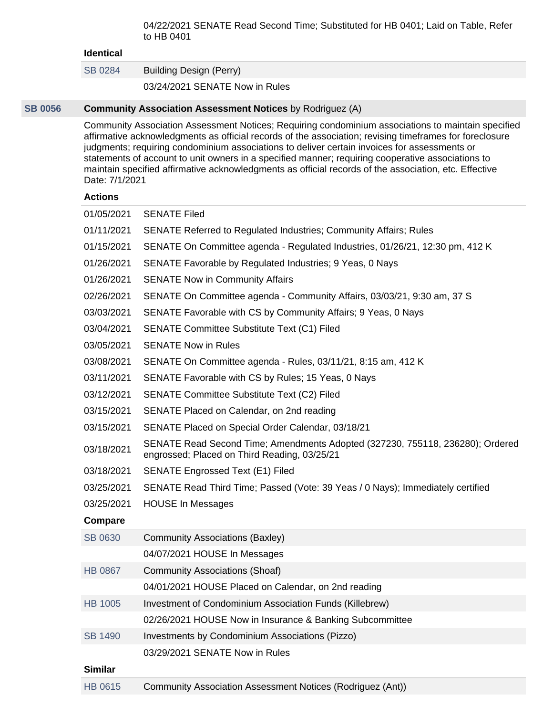04/22/2021 SENATE Read Second Time; Substituted for HB 0401; Laid on Table, Refer to HB 0401

#### **Identical**

[SB 0284](https://public.lobbytools.com/bills/56385) Building Design (Perry)

03/24/2021 SENATE Now in Rules

#### **[SB 0056](https://public.lobbytools.com/bills/56496) Community Association Assessment Notices** by Rodriguez (A)

Community Association Assessment Notices; Requiring condominium associations to maintain specified affirmative acknowledgments as official records of the association; revising timeframes for foreclosure judgments; requiring condominium associations to deliver certain invoices for assessments or statements of account to unit owners in a specified manner; requiring cooperative associations to maintain specified affirmative acknowledgments as official records of the association, etc. Effective Date: 7/1/2021

| 01/05/2021     | <b>SENATE Filed</b>                                                                                                           |
|----------------|-------------------------------------------------------------------------------------------------------------------------------|
| 01/11/2021     | <b>SENATE Referred to Regulated Industries; Community Affairs; Rules</b>                                                      |
| 01/15/2021     | SENATE On Committee agenda - Regulated Industries, 01/26/21, 12:30 pm, 412 K                                                  |
| 01/26/2021     | SENATE Favorable by Regulated Industries; 9 Yeas, 0 Nays                                                                      |
| 01/26/2021     | <b>SENATE Now in Community Affairs</b>                                                                                        |
| 02/26/2021     | SENATE On Committee agenda - Community Affairs, 03/03/21, 9:30 am, 37 S                                                       |
| 03/03/2021     | SENATE Favorable with CS by Community Affairs; 9 Yeas, 0 Nays                                                                 |
| 03/04/2021     | <b>SENATE Committee Substitute Text (C1) Filed</b>                                                                            |
| 03/05/2021     | <b>SENATE Now in Rules</b>                                                                                                    |
| 03/08/2021     | SENATE On Committee agenda - Rules, 03/11/21, 8:15 am, 412 K                                                                  |
| 03/11/2021     | SENATE Favorable with CS by Rules; 15 Yeas, 0 Nays                                                                            |
| 03/12/2021     | <b>SENATE Committee Substitute Text (C2) Filed</b>                                                                            |
| 03/15/2021     | SENATE Placed on Calendar, on 2nd reading                                                                                     |
| 03/15/2021     | SENATE Placed on Special Order Calendar, 03/18/21                                                                             |
| 03/18/2021     | SENATE Read Second Time; Amendments Adopted (327230, 755118, 236280); Ordered<br>engrossed; Placed on Third Reading, 03/25/21 |
| 03/18/2021     | <b>SENATE Engrossed Text (E1) Filed</b>                                                                                       |
| 03/25/2021     | SENATE Read Third Time; Passed (Vote: 39 Yeas / 0 Nays); Immediately certified                                                |
| 03/25/2021     | <b>HOUSE In Messages</b>                                                                                                      |
| Compare        |                                                                                                                               |
| SB 0630        | Community Associations (Baxley)                                                                                               |
|                | 04/07/2021 HOUSE In Messages                                                                                                  |
| <b>HB 0867</b> | <b>Community Associations (Shoaf)</b>                                                                                         |
|                | 04/01/2021 HOUSE Placed on Calendar, on 2nd reading                                                                           |
| <b>HB 1005</b> | Investment of Condominium Association Funds (Killebrew)                                                                       |
|                | 02/26/2021 HOUSE Now in Insurance & Banking Subcommittee                                                                      |
| <b>SB 1490</b> | Investments by Condominium Associations (Pizzo)                                                                               |
|                | 03/29/2021 SENATE Now in Rules                                                                                                |
| <b>Similar</b> |                                                                                                                               |
| HB 0615        | Community Association Assessment Notices (Rodriguez (Ant))                                                                    |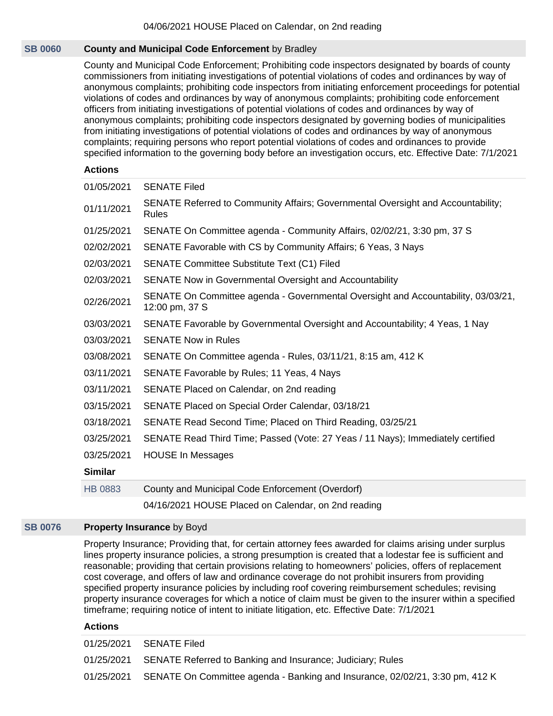## **[SB 0060](https://public.lobbytools.com/bills/56491) County and Municipal Code Enforcement** by Bradley

County and Municipal Code Enforcement; Prohibiting code inspectors designated by boards of county commissioners from initiating investigations of potential violations of codes and ordinances by way of anonymous complaints; prohibiting code inspectors from initiating enforcement proceedings for potential violations of codes and ordinances by way of anonymous complaints; prohibiting code enforcement officers from initiating investigations of potential violations of codes and ordinances by way of anonymous complaints; prohibiting code inspectors designated by governing bodies of municipalities from initiating investigations of potential violations of codes and ordinances by way of anonymous complaints; requiring persons who report potential violations of codes and ordinances to provide specified information to the governing body before an investigation occurs, etc. Effective Date: 7/1/2021

## **Actions**

| 01/05/2021     | <b>SENATE Filed</b>                                                                                 |
|----------------|-----------------------------------------------------------------------------------------------------|
| 01/11/2021     | SENATE Referred to Community Affairs; Governmental Oversight and Accountability;<br>Rules           |
| 01/25/2021     | SENATE On Committee agenda - Community Affairs, 02/02/21, 3:30 pm, 37 S                             |
| 02/02/2021     | SENATE Favorable with CS by Community Affairs; 6 Yeas, 3 Nays                                       |
| 02/03/2021     | <b>SENATE Committee Substitute Text (C1) Filed</b>                                                  |
| 02/03/2021     | SENATE Now in Governmental Oversight and Accountability                                             |
| 02/26/2021     | SENATE On Committee agenda - Governmental Oversight and Accountability, 03/03/21,<br>12:00 pm, 37 S |
| 03/03/2021     | SENATE Favorable by Governmental Oversight and Accountability; 4 Yeas, 1 Nay                        |
| 03/03/2021     | <b>SENATE Now in Rules</b>                                                                          |
| 03/08/2021     | SENATE On Committee agenda - Rules, 03/11/21, 8:15 am, 412 K                                        |
| 03/11/2021     | SENATE Favorable by Rules; 11 Yeas, 4 Nays                                                          |
| 03/11/2021     | SENATE Placed on Calendar, on 2nd reading                                                           |
| 03/15/2021     | SENATE Placed on Special Order Calendar, 03/18/21                                                   |
| 03/18/2021     | SENATE Read Second Time; Placed on Third Reading, 03/25/21                                          |
| 03/25/2021     | SENATE Read Third Time; Passed (Vote: 27 Yeas / 11 Nays); Immediately certified                     |
| 03/25/2021     | <b>HOUSE In Messages</b>                                                                            |
| <b>Similar</b> |                                                                                                     |
| <b>HB 0883</b> | County and Municipal Code Enforcement (Overdorf)                                                    |
|                | 04/16/2021 HOUSE Placed on Calendar, on 2nd reading                                                 |

#### **[SB 0076](https://public.lobbytools.com/bills/56917) Property Insurance** by Boyd

Property Insurance; Providing that, for certain attorney fees awarded for claims arising under surplus lines property insurance policies, a strong presumption is created that a lodestar fee is sufficient and reasonable; providing that certain provisions relating to homeowners' policies, offers of replacement cost coverage, and offers of law and ordinance coverage do not prohibit insurers from providing specified property insurance policies by including roof covering reimbursement schedules; revising property insurance coverages for which a notice of claim must be given to the insurer within a specified timeframe; requiring notice of intent to initiate litigation, etc. Effective Date: 7/1/2021

| 01/25/2021 SENATE Filed                                                                 |
|-----------------------------------------------------------------------------------------|
| 01/25/2021 SENATE Referred to Banking and Insurance; Judiciary; Rules                   |
| 01/25/2021 SENATE On Committee agenda - Banking and Insurance, 02/02/21, 3:30 pm, 412 K |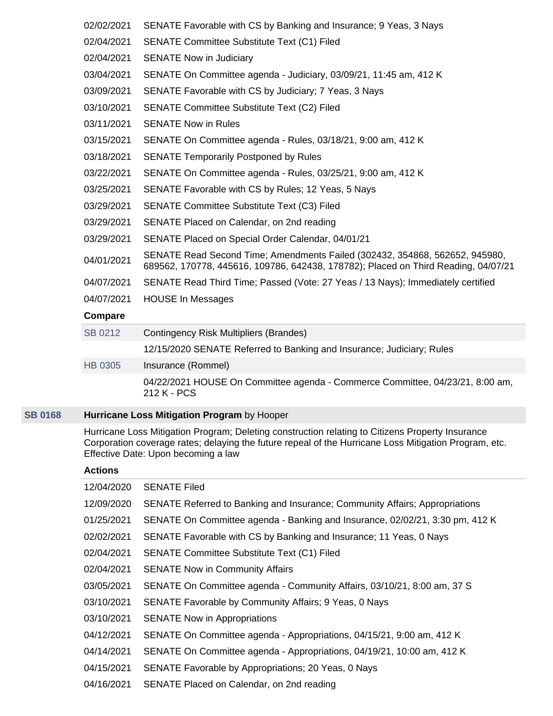| 02/02/2021     | SENATE Favorable with CS by Banking and Insurance; 9 Yeas, 3 Nays                                                                                                 |
|----------------|-------------------------------------------------------------------------------------------------------------------------------------------------------------------|
| 02/04/2021     | <b>SENATE Committee Substitute Text (C1) Filed</b>                                                                                                                |
| 02/04/2021     | <b>SENATE Now in Judiciary</b>                                                                                                                                    |
| 03/04/2021     | SENATE On Committee agenda - Judiciary, 03/09/21, 11:45 am, 412 K                                                                                                 |
| 03/09/2021     | SENATE Favorable with CS by Judiciary; 7 Yeas, 3 Nays                                                                                                             |
| 03/10/2021     | SENATE Committee Substitute Text (C2) Filed                                                                                                                       |
| 03/11/2021     | <b>SENATE Now in Rules</b>                                                                                                                                        |
| 03/15/2021     | SENATE On Committee agenda - Rules, 03/18/21, 9:00 am, 412 K                                                                                                      |
| 03/18/2021     | <b>SENATE Temporarily Postponed by Rules</b>                                                                                                                      |
| 03/22/2021     | SENATE On Committee agenda - Rules, 03/25/21, 9:00 am, 412 K                                                                                                      |
| 03/25/2021     | SENATE Favorable with CS by Rules; 12 Yeas, 5 Nays                                                                                                                |
| 03/29/2021     | <b>SENATE Committee Substitute Text (C3) Filed</b>                                                                                                                |
| 03/29/2021     | SENATE Placed on Calendar, on 2nd reading                                                                                                                         |
| 03/29/2021     | SENATE Placed on Special Order Calendar, 04/01/21                                                                                                                 |
| 04/01/2021     | SENATE Read Second Time; Amendments Failed (302432, 354868, 562652, 945980,<br>689562, 170778, 445616, 109786, 642438, 178782); Placed on Third Reading, 04/07/21 |
| 04/07/2021     | SENATE Read Third Time; Passed (Vote: 27 Yeas / 13 Nays); Immediately certified                                                                                   |
| 04/07/2021     | <b>HOUSE In Messages</b>                                                                                                                                          |
| Compare        |                                                                                                                                                                   |
| SB 0212        | Contingency Risk Multipliers (Brandes)                                                                                                                            |
|                | 12/15/2020 SENATE Referred to Banking and Insurance; Judiciary; Rules                                                                                             |
| <b>HB 0305</b> | Insurance (Rommel)                                                                                                                                                |

# 212 K - PCS

# **[SB 0168](https://public.lobbytools.com/bills/56299) Hurricane Loss Mitigation Program** by Hooper

Hurricane Loss Mitigation Program; Deleting construction relating to Citizens Property Insurance Corporation coverage rates; delaying the future repeal of the Hurricane Loss Mitigation Program, etc. Effective Date: Upon becoming a law

04/22/2021 HOUSE On Committee agenda - Commerce Committee, 04/23/21, 8:00 am,

| 12/04/2020 | <b>SENATE Filed</b>                                                          |
|------------|------------------------------------------------------------------------------|
| 12/09/2020 | SENATE Referred to Banking and Insurance; Community Affairs; Appropriations  |
| 01/25/2021 | SENATE On Committee agenda - Banking and Insurance, 02/02/21, 3:30 pm, 412 K |
| 02/02/2021 | SENATE Favorable with CS by Banking and Insurance; 11 Yeas, 0 Nays           |
| 02/04/2021 | SENATE Committee Substitute Text (C1) Filed                                  |
| 02/04/2021 | <b>SENATE Now in Community Affairs</b>                                       |
| 03/05/2021 | SENATE On Committee agenda - Community Affairs, 03/10/21, 8:00 am, 37 S      |
| 03/10/2021 | SENATE Favorable by Community Affairs; 9 Yeas, 0 Nays                        |
| 03/10/2021 | <b>SENATE Now in Appropriations</b>                                          |
| 04/12/2021 | SENATE On Committee agenda - Appropriations, 04/15/21, 9:00 am, 412 K        |
| 04/14/2021 | SENATE On Committee agenda - Appropriations, 04/19/21, 10:00 am, 412 K       |
| 04/15/2021 | SENATE Favorable by Appropriations; 20 Yeas, 0 Nays                          |
| 04/16/2021 | SENATE Placed on Calendar, on 2nd reading                                    |
|            |                                                                              |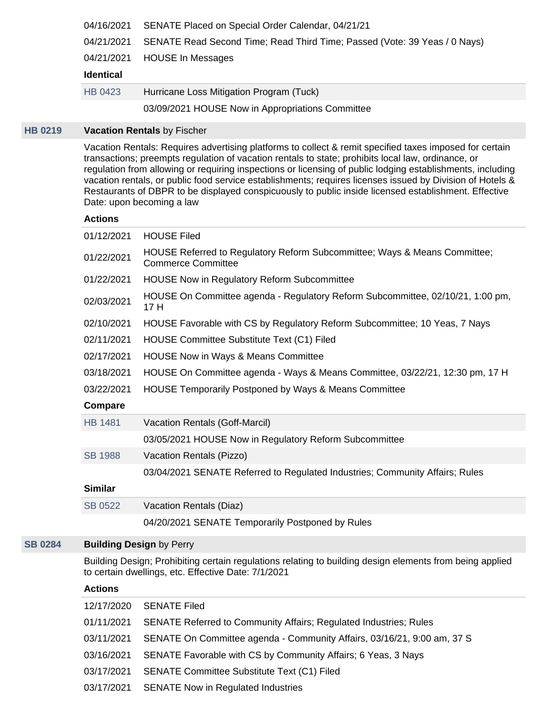| 04/16/2021       | SENATE Placed on Special Order Calendar, 04/21/21                         |
|------------------|---------------------------------------------------------------------------|
| 04/21/2021       | SENATE Read Second Time; Read Third Time; Passed (Vote: 39 Yeas / 0 Nays) |
| 04/21/2021       | <b>HOUSE In Messages</b>                                                  |
|                  |                                                                           |
| <b>Identical</b> |                                                                           |
| HB 0423          | Hurricane Loss Mitigation Program (Tuck)                                  |

## **[HB 0219](https://public.lobbytools.com/bills/56616) Vacation Rentals** by Fischer

Vacation Rentals: Requires advertising platforms to collect & remit specified taxes imposed for certain transactions; preempts regulation of vacation rentals to state; prohibits local law, ordinance, or regulation from allowing or requiring inspections or licensing of public lodging establishments, including vacation rentals, or public food service establishments; requires licenses issued by Division of Hotels & Restaurants of DBPR to be displayed conspicuously to public inside licensed establishment. Effective Date: upon becoming a law

#### **Actions**

| 01/12/2021     | <b>HOUSE Filed</b>                                                                                     |
|----------------|--------------------------------------------------------------------------------------------------------|
| 01/22/2021     | HOUSE Referred to Regulatory Reform Subcommittee; Ways & Means Committee;<br><b>Commerce Committee</b> |
| 01/22/2021     | <b>HOUSE Now in Regulatory Reform Subcommittee</b>                                                     |
| 02/03/2021     | HOUSE On Committee agenda - Regulatory Reform Subcommittee, 02/10/21, 1:00 pm,<br>17 H                 |
| 02/10/2021     | HOUSE Favorable with CS by Regulatory Reform Subcommittee; 10 Yeas, 7 Nays                             |
| 02/11/2021     | HOUSE Committee Substitute Text (C1) Filed                                                             |
| 02/17/2021     | <b>HOUSE Now in Ways &amp; Means Committee</b>                                                         |
| 03/18/2021     | HOUSE On Committee agenda - Ways & Means Committee, 03/22/21, 12:30 pm, 17 H                           |
| 03/22/2021     | HOUSE Temporarily Postponed by Ways & Means Committee                                                  |
| Compare        |                                                                                                        |
| <b>HB 1481</b> | Vacation Rentals (Goff-Marcil)                                                                         |
|                | 03/05/2021 HOUSE Now in Regulatory Reform Subcommittee                                                 |
| <b>SB 1988</b> | Vacation Rentals (Pizzo)                                                                               |
|                | 03/04/2021 SENATE Referred to Regulated Industries; Community Affairs; Rules                           |
| <b>Similar</b> |                                                                                                        |
| SB 0522        | Vacation Rentals (Diaz)                                                                                |
|                | 04/20/2021 SENATE Temporarily Postponed by Rules                                                       |

## **[SB 0284](https://public.lobbytools.com/bills/56385) Building Design** by Perry

Building Design; Prohibiting certain regulations relating to building design elements from being applied to certain dwellings, etc. Effective Date: 7/1/2021

| 12/17/2020 | <b>SENATE Filed</b>                                                      |
|------------|--------------------------------------------------------------------------|
| 01/11/2021 | <b>SENATE Referred to Community Affairs; Regulated Industries; Rules</b> |
| 03/11/2021 | SENATE On Committee agenda - Community Affairs, 03/16/21, 9:00 am, 37 S  |
| 03/16/2021 | SENATE Favorable with CS by Community Affairs; 6 Yeas, 3 Nays            |
| 03/17/2021 | <b>SENATE Committee Substitute Text (C1) Filed</b>                       |
| 03/17/2021 | <b>SENATE Now in Regulated Industries</b>                                |
|            |                                                                          |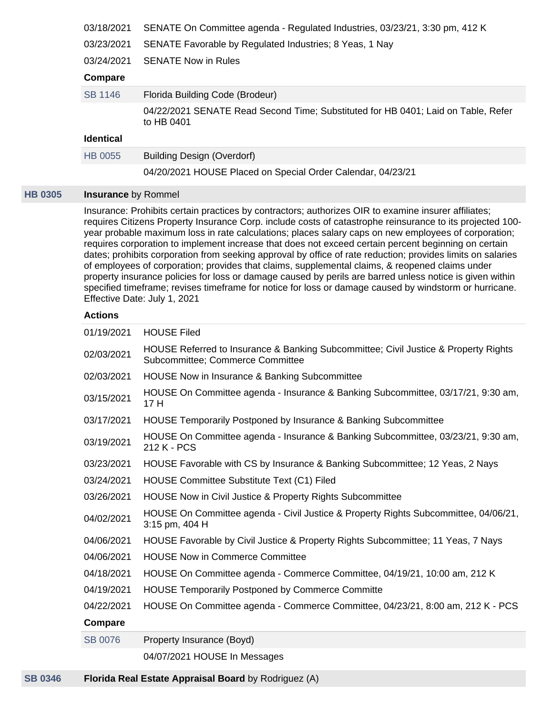| 03/18/2021                 | SENATE On Committee agenda - Regulated Industries, 03/23/21, 3:30 pm, 412 K                                                                                                                                                                                                                                                                                                                                                                                                                                                                                                                                                                                                                                                                                                                                                                                                                               |
|----------------------------|-----------------------------------------------------------------------------------------------------------------------------------------------------------------------------------------------------------------------------------------------------------------------------------------------------------------------------------------------------------------------------------------------------------------------------------------------------------------------------------------------------------------------------------------------------------------------------------------------------------------------------------------------------------------------------------------------------------------------------------------------------------------------------------------------------------------------------------------------------------------------------------------------------------|
| 03/23/2021                 | SENATE Favorable by Regulated Industries; 8 Yeas, 1 Nay                                                                                                                                                                                                                                                                                                                                                                                                                                                                                                                                                                                                                                                                                                                                                                                                                                                   |
| 03/24/2021                 | <b>SENATE Now in Rules</b>                                                                                                                                                                                                                                                                                                                                                                                                                                                                                                                                                                                                                                                                                                                                                                                                                                                                                |
| Compare                    |                                                                                                                                                                                                                                                                                                                                                                                                                                                                                                                                                                                                                                                                                                                                                                                                                                                                                                           |
| <b>SB 1146</b>             | Florida Building Code (Brodeur)                                                                                                                                                                                                                                                                                                                                                                                                                                                                                                                                                                                                                                                                                                                                                                                                                                                                           |
|                            | 04/22/2021 SENATE Read Second Time; Substituted for HB 0401; Laid on Table, Refer<br>to HB 0401                                                                                                                                                                                                                                                                                                                                                                                                                                                                                                                                                                                                                                                                                                                                                                                                           |
| <b>Identical</b>           |                                                                                                                                                                                                                                                                                                                                                                                                                                                                                                                                                                                                                                                                                                                                                                                                                                                                                                           |
| <b>HB 0055</b>             | <b>Building Design (Overdorf)</b>                                                                                                                                                                                                                                                                                                                                                                                                                                                                                                                                                                                                                                                                                                                                                                                                                                                                         |
|                            | 04/20/2021 HOUSE Placed on Special Order Calendar, 04/23/21                                                                                                                                                                                                                                                                                                                                                                                                                                                                                                                                                                                                                                                                                                                                                                                                                                               |
| <b>Insurance by Rommel</b> |                                                                                                                                                                                                                                                                                                                                                                                                                                                                                                                                                                                                                                                                                                                                                                                                                                                                                                           |
|                            | Insurance: Prohibits certain practices by contractors; authorizes OIR to examine insurer affiliates;<br>requires Citizens Property Insurance Corp. include costs of catastrophe reinsurance to its projected 100-<br>year probable maximum loss in rate calculations; places salary caps on new employees of corporation;<br>requires corporation to implement increase that does not exceed certain percent beginning on certain<br>dates; prohibits corporation from seeking approval by office of rate reduction; provides limits on salaries<br>of employees of corporation; provides that claims, supplemental claims, & reopened claims under<br>property insurance policies for loss or damage caused by perils are barred unless notice is given within<br>specified timeframe; revises timeframe for notice for loss or damage caused by windstorm or hurricane.<br>Effective Date: July 1, 2021 |
| <b>Actions</b>             |                                                                                                                                                                                                                                                                                                                                                                                                                                                                                                                                                                                                                                                                                                                                                                                                                                                                                                           |
| 01/19/2021                 | <b>HOUSE Filed</b>                                                                                                                                                                                                                                                                                                                                                                                                                                                                                                                                                                                                                                                                                                                                                                                                                                                                                        |
| 02/03/2021                 | HOUSE Referred to Insurance & Banking Subcommittee; Civil Justice & Property Rights<br>Subcommittee; Commerce Committee                                                                                                                                                                                                                                                                                                                                                                                                                                                                                                                                                                                                                                                                                                                                                                                   |
| 02/03/2021                 | HOUSE Now in Insurance & Banking Subcommittee                                                                                                                                                                                                                                                                                                                                                                                                                                                                                                                                                                                                                                                                                                                                                                                                                                                             |
| 03/15/2021                 | HOUSE On Committee agenda - Insurance & Banking Subcommittee, 03/17/21, 9:30 am,<br>17 H                                                                                                                                                                                                                                                                                                                                                                                                                                                                                                                                                                                                                                                                                                                                                                                                                  |
| 03/17/2021                 | HOUSE Temporarily Postponed by Insurance & Banking Subcommittee                                                                                                                                                                                                                                                                                                                                                                                                                                                                                                                                                                                                                                                                                                                                                                                                                                           |
| 03/19/2021                 | HOUSE On Committee agenda - Insurance & Banking Subcommittee, 03/23/21, 9:30 am,<br>212 K - PCS                                                                                                                                                                                                                                                                                                                                                                                                                                                                                                                                                                                                                                                                                                                                                                                                           |
| 03/23/2021                 | HOUSE Favorable with CS by Insurance & Banking Subcommittee; 12 Yeas, 2 Nays                                                                                                                                                                                                                                                                                                                                                                                                                                                                                                                                                                                                                                                                                                                                                                                                                              |
| 03/24/2021                 | HOUSE Committee Substitute Text (C1) Filed                                                                                                                                                                                                                                                                                                                                                                                                                                                                                                                                                                                                                                                                                                                                                                                                                                                                |
| 03/26/2021                 | HOUSE Now in Civil Justice & Property Rights Subcommittee                                                                                                                                                                                                                                                                                                                                                                                                                                                                                                                                                                                                                                                                                                                                                                                                                                                 |
| 04/02/2021                 | HOUSE On Committee agenda - Civil Justice & Property Rights Subcommittee, 04/06/21,<br>3:15 pm, 404 H                                                                                                                                                                                                                                                                                                                                                                                                                                                                                                                                                                                                                                                                                                                                                                                                     |
| 04/06/2021                 | HOUSE Favorable by Civil Justice & Property Rights Subcommittee; 11 Yeas, 7 Nays                                                                                                                                                                                                                                                                                                                                                                                                                                                                                                                                                                                                                                                                                                                                                                                                                          |
| 04/06/2021                 | <b>HOUSE Now in Commerce Committee</b>                                                                                                                                                                                                                                                                                                                                                                                                                                                                                                                                                                                                                                                                                                                                                                                                                                                                    |
| 04/18/2021                 | HOUSE On Committee agenda - Commerce Committee, 04/19/21, 10:00 am, 212 K                                                                                                                                                                                                                                                                                                                                                                                                                                                                                                                                                                                                                                                                                                                                                                                                                                 |
| 04/19/2021                 | <b>HOUSE Temporarily Postponed by Commerce Committe</b>                                                                                                                                                                                                                                                                                                                                                                                                                                                                                                                                                                                                                                                                                                                                                                                                                                                   |
| 04/22/2021                 | HOUSE On Committee agenda - Commerce Committee, 04/23/21, 8:00 am, 212 K - PCS                                                                                                                                                                                                                                                                                                                                                                                                                                                                                                                                                                                                                                                                                                                                                                                                                            |
| Compare                    |                                                                                                                                                                                                                                                                                                                                                                                                                                                                                                                                                                                                                                                                                                                                                                                                                                                                                                           |
| <b>SB 0076</b>             | Property Insurance (Boyd)                                                                                                                                                                                                                                                                                                                                                                                                                                                                                                                                                                                                                                                                                                                                                                                                                                                                                 |
|                            | 04/07/2021 HOUSE In Messages                                                                                                                                                                                                                                                                                                                                                                                                                                                                                                                                                                                                                                                                                                                                                                                                                                                                              |
|                            |                                                                                                                                                                                                                                                                                                                                                                                                                                                                                                                                                                                                                                                                                                                                                                                                                                                                                                           |

**[HB 0305](https://public.lobbytools.com/bills/56766)**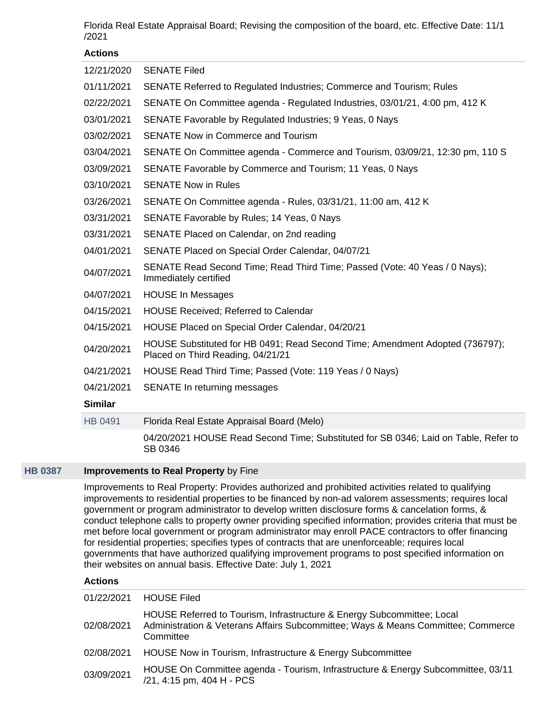Florida Real Estate Appraisal Board; Revising the composition of the board, etc. Effective Date: 11/1 /2021

## **Actions**

| 12/21/2020     | <b>SENATE Filed</b>                                                                                               |
|----------------|-------------------------------------------------------------------------------------------------------------------|
| 01/11/2021     | SENATE Referred to Regulated Industries; Commerce and Tourism; Rules                                              |
| 02/22/2021     | SENATE On Committee agenda - Regulated Industries, 03/01/21, 4:00 pm, 412 K                                       |
| 03/01/2021     | SENATE Favorable by Regulated Industries; 9 Yeas, 0 Nays                                                          |
| 03/02/2021     | <b>SENATE Now in Commerce and Tourism</b>                                                                         |
| 03/04/2021     | SENATE On Committee agenda - Commerce and Tourism, 03/09/21, 12:30 pm, 110 S                                      |
| 03/09/2021     | SENATE Favorable by Commerce and Tourism; 11 Yeas, 0 Nays                                                         |
| 03/10/2021     | <b>SENATE Now in Rules</b>                                                                                        |
| 03/26/2021     | SENATE On Committee agenda - Rules, 03/31/21, 11:00 am, 412 K                                                     |
| 03/31/2021     | SENATE Favorable by Rules; 14 Yeas, 0 Nays                                                                        |
| 03/31/2021     | SENATE Placed on Calendar, on 2nd reading                                                                         |
| 04/01/2021     | SENATE Placed on Special Order Calendar, 04/07/21                                                                 |
| 04/07/2021     | SENATE Read Second Time; Read Third Time; Passed (Vote: 40 Yeas / 0 Nays);<br>Immediately certified               |
| 04/07/2021     | <b>HOUSE In Messages</b>                                                                                          |
| 04/15/2021     | <b>HOUSE Received: Referred to Calendar</b>                                                                       |
| 04/15/2021     | HOUSE Placed on Special Order Calendar, 04/20/21                                                                  |
| 04/20/2021     | HOUSE Substituted for HB 0491; Read Second Time; Amendment Adopted (736797);<br>Placed on Third Reading, 04/21/21 |
| 04/21/2021     | HOUSE Read Third Time; Passed (Vote: 119 Yeas / 0 Nays)                                                           |
| 04/21/2021     | SENATE In returning messages                                                                                      |
| <b>Similar</b> |                                                                                                                   |
| <b>HB 0491</b> | Florida Real Estate Appraisal Board (Melo)                                                                        |
|                | 04/20/2021 HOUSE Read Second Time; Substituted for SB 0346; Laid on Table, Refer to<br>SB 0346                    |

## **[HB 0387](https://public.lobbytools.com/bills/56868) Improvements to Real Property** by Fine

Improvements to Real Property: Provides authorized and prohibited activities related to qualifying improvements to residential properties to be financed by non-ad valorem assessments; requires local government or program administrator to develop written disclosure forms & cancelation forms, & conduct telephone calls to property owner providing specified information; provides criteria that must be met before local government or program administrator may enroll PACE contractors to offer financing for residential properties; specifies types of contracts that are unenforceable; requires local governments that have authorized qualifying improvement programs to post specified information on their websites on annual basis. Effective Date: July 1, 2021

| 01/22/2021 | <b>HOUSE Filed</b>                                                                                                                                                      |
|------------|-------------------------------------------------------------------------------------------------------------------------------------------------------------------------|
| 02/08/2021 | HOUSE Referred to Tourism, Infrastructure & Energy Subcommittee; Local<br>Administration & Veterans Affairs Subcommittee; Ways & Means Committee; Commerce<br>Committee |
| 02/08/2021 | HOUSE Now in Tourism, Infrastructure & Energy Subcommittee                                                                                                              |
| 03/09/2021 | HOUSE On Committee agenda - Tourism, Infrastructure & Energy Subcommittee, 03/11<br>/21, 4:15 pm, 404 H - PCS                                                           |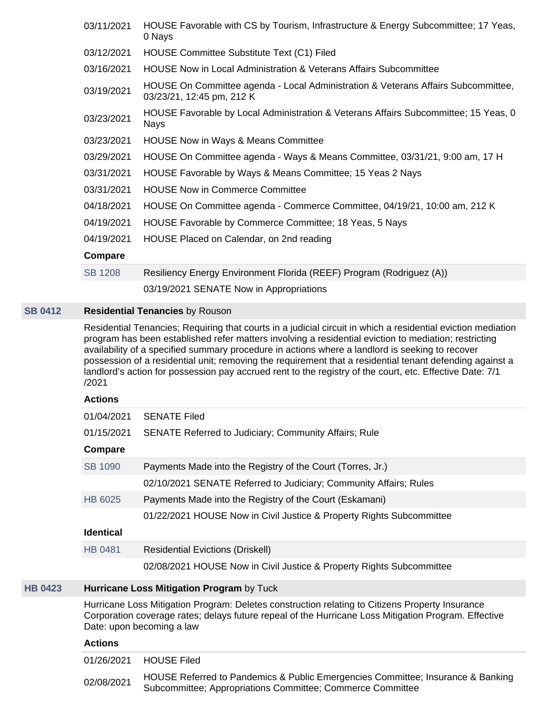| 03/11/2021     | HOUSE Favorable with CS by Tourism, Infrastructure & Energy Subcommittee; 17 Yeas,<br>0 Nays                   |
|----------------|----------------------------------------------------------------------------------------------------------------|
| 03/12/2021     | HOUSE Committee Substitute Text (C1) Filed                                                                     |
| 03/16/2021     | <b>HOUSE Now in Local Administration &amp; Veterans Affairs Subcommittee</b>                                   |
| 03/19/2021     | HOUSE On Committee agenda - Local Administration & Veterans Affairs Subcommittee,<br>03/23/21, 12:45 pm, 212 K |
| 03/23/2021     | HOUSE Favorable by Local Administration & Veterans Affairs Subcommittee; 15 Yeas, 0<br><b>Nays</b>             |
| 03/23/2021     | <b>HOUSE Now in Ways &amp; Means Committee</b>                                                                 |
| 03/29/2021     | HOUSE On Committee agenda - Ways & Means Committee, 03/31/21, 9:00 am, 17 H                                    |
| 03/31/2021     | HOUSE Favorable by Ways & Means Committee; 15 Yeas 2 Nays                                                      |
| 03/31/2021     | <b>HOUSE Now in Commerce Committee</b>                                                                         |
| 04/18/2021     | HOUSE On Committee agenda - Commerce Committee, 04/19/21, 10:00 am, 212 K                                      |
| 04/19/2021     | HOUSE Favorable by Commerce Committee; 18 Yeas, 5 Nays                                                         |
| 04/19/2021     | HOUSE Placed on Calendar, on 2nd reading                                                                       |
| Compare        |                                                                                                                |
| <b>SB 1208</b> | Resiliency Energy Environment Florida (REEF) Program (Rodriguez (A))                                           |
|                | 03/19/2021 SENATE Now in Appropriations                                                                        |
|                |                                                                                                                |

## **[SB 0412](https://public.lobbytools.com/bills/56483) Residential Tenancies** by Rouson

Residential Tenancies; Requiring that courts in a judicial circuit in which a residential eviction mediation program has been established refer matters involving a residential eviction to mediation; restricting availability of a specified summary procedure in actions where a landlord is seeking to recover possession of a residential unit; removing the requirement that a residential tenant defending against a landlord's action for possession pay accrued rent to the registry of the court, etc. Effective Date: 7/1 /2021

#### **Actions**

| 01/04/2021       | <b>SENATE Filed</b>                                                  |
|------------------|----------------------------------------------------------------------|
| 01/15/2021       | <b>SENATE Referred to Judiciary; Community Affairs; Rule</b>         |
| Compare          |                                                                      |
| SB 1090          | Payments Made into the Registry of the Court (Torres, Jr.)           |
|                  | 02/10/2021 SENATE Referred to Judiciary; Community Affairs; Rules    |
| HB 6025          | Payments Made into the Registry of the Court (Eskamani)              |
|                  | 01/22/2021 HOUSE Now in Civil Justice & Property Rights Subcommittee |
| <b>Identical</b> |                                                                      |
| HB 0481          | <b>Residential Evictions (Driskell)</b>                              |
|                  | 02/08/2021 HOUSE Now in Civil Justice & Property Rights Subcommittee |

## **[HB 0423](https://public.lobbytools.com/bills/56964) Hurricane Loss Mitigation Program** by Tuck

Hurricane Loss Mitigation Program: Deletes construction relating to Citizens Property Insurance Corporation coverage rates; delays future repeal of the Hurricane Loss Mitigation Program. Effective Date: upon becoming a law

|            | 01/26/2021 HOUSE Filed                                                                                                                        |
|------------|-----------------------------------------------------------------------------------------------------------------------------------------------|
| 02/08/2021 | HOUSE Referred to Pandemics & Public Emergencies Committee; Insurance & Banking<br>Subcommittee; Appropriations Committee; Commerce Committee |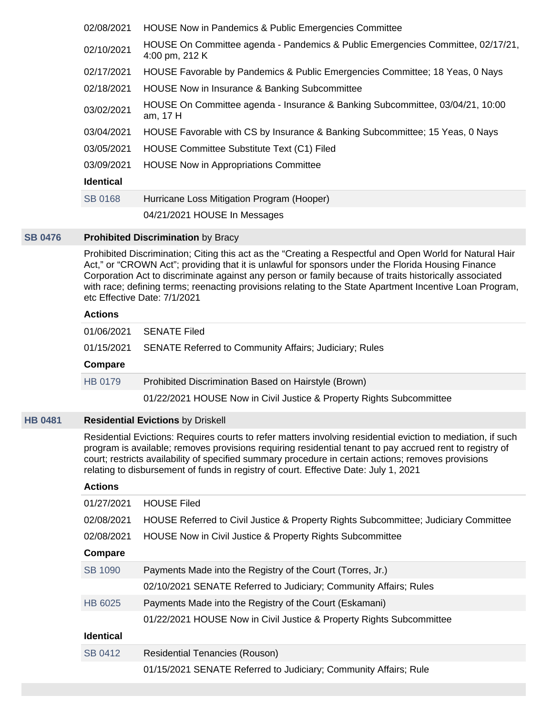| 02/08/2021                                                                                                                                                                                                                                                                                                               | HOUSE Now in Pandemics & Public Emergencies Committee                                             |
|--------------------------------------------------------------------------------------------------------------------------------------------------------------------------------------------------------------------------------------------------------------------------------------------------------------------------|---------------------------------------------------------------------------------------------------|
| 02/10/2021                                                                                                                                                                                                                                                                                                               | HOUSE On Committee agenda - Pandemics & Public Emergencies Committee, 02/17/21,<br>4:00 pm, 212 K |
| 02/17/2021                                                                                                                                                                                                                                                                                                               | HOUSE Favorable by Pandemics & Public Emergencies Committee; 18 Yeas, 0 Nays                      |
| 02/18/2021                                                                                                                                                                                                                                                                                                               | HOUSE Now in Insurance & Banking Subcommittee                                                     |
| 03/02/2021                                                                                                                                                                                                                                                                                                               | HOUSE On Committee agenda - Insurance & Banking Subcommittee, 03/04/21, 10:00<br>am, 17 H         |
| 03/04/2021                                                                                                                                                                                                                                                                                                               | HOUSE Favorable with CS by Insurance & Banking Subcommittee; 15 Yeas, 0 Nays                      |
| 03/05/2021                                                                                                                                                                                                                                                                                                               | HOUSE Committee Substitute Text (C1) Filed                                                        |
| 03/09/2021                                                                                                                                                                                                                                                                                                               | <b>HOUSE Now in Appropriations Committee</b>                                                      |
| <b>Identical</b>                                                                                                                                                                                                                                                                                                         |                                                                                                   |
| <b>SB 0168</b>                                                                                                                                                                                                                                                                                                           | Hurricane Loss Mitigation Program (Hooper)                                                        |
|                                                                                                                                                                                                                                                                                                                          | 04/21/2021 HOUSE In Messages                                                                      |
| <b>Prohibited Discrimination by Bracy</b>                                                                                                                                                                                                                                                                                |                                                                                                   |
| Prohibited Discrimination; Citing this act as the "Creating a Respectful and Open World for Natural Hair<br>Act," or "CROWN Act"; providing that it is unlawful for sponsors under the Florida Housing Finance<br>Corporation Act to discriminate against any person or family because of traits historically associated |                                                                                                   |

**Actions**

**[SB 0476](https://public.lobbytools.com/bills/56527)** 

|         | 01/06/2021 SENATE Filed                                              |
|---------|----------------------------------------------------------------------|
|         | 01/15/2021 SENATE Referred to Community Affairs; Judiciary; Rules    |
| Compare |                                                                      |
| HB 0179 | Prohibited Discrimination Based on Hairstyle (Brown)                 |
|         | 01/22/2021 HOUSE Now in Civil Justice & Property Rights Subcommittee |

with race; defining terms; reenacting provisions relating to the State Apartment Incentive Loan Program,

## **[HB 0481](https://public.lobbytools.com/bills/57047) Residential Evictions** by Driskell

etc Effective Date: 7/1/2021

Residential Evictions: Requires courts to refer matters involving residential eviction to mediation, if such program is available; removes provisions requiring residential tenant to pay accrued rent to registry of court; restricts availability of specified summary procedure in certain actions; removes provisions relating to disbursement of funds in registry of court. Effective Date: July 1, 2021

| 01/27/2021       | <b>HOUSE Filed</b>                                                                  |
|------------------|-------------------------------------------------------------------------------------|
| 02/08/2021       | HOUSE Referred to Civil Justice & Property Rights Subcommittee; Judiciary Committee |
| 02/08/2021       | HOUSE Now in Civil Justice & Property Rights Subcommittee                           |
| Compare          |                                                                                     |
| SB 1090          | Payments Made into the Registry of the Court (Torres, Jr.)                          |
|                  | 02/10/2021 SENATE Referred to Judiciary; Community Affairs; Rules                   |
| HB 6025          | Payments Made into the Registry of the Court (Eskamani)                             |
|                  | 01/22/2021 HOUSE Now in Civil Justice & Property Rights Subcommittee                |
| <b>Identical</b> |                                                                                     |
| SB 0412          | <b>Residential Tenancies (Rouson)</b>                                               |
|                  | 01/15/2021 SENATE Referred to Judiciary; Community Affairs; Rule                    |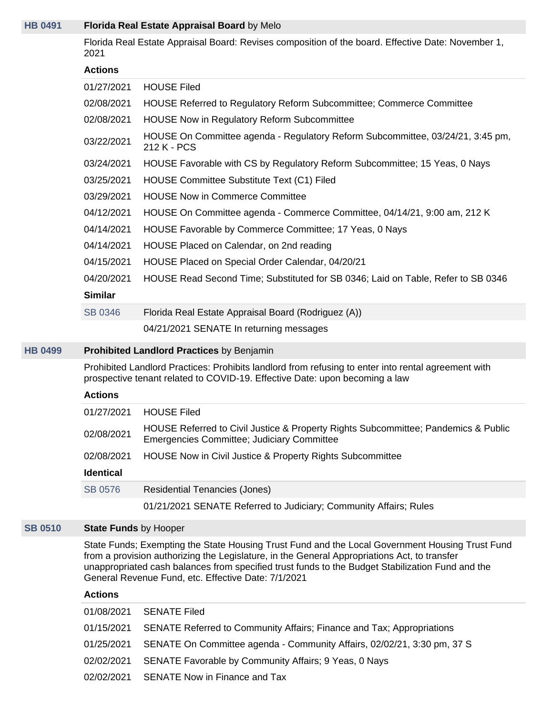## **[HB 0491](https://public.lobbytools.com/bills/57073) Florida Real Estate Appraisal Board** by Melo

Florida Real Estate Appraisal Board: Revises composition of the board. Effective Date: November 1, 2021

#### **Actions**

| 01/27/2021     | <b>HOUSE Filed</b>                                                                            |
|----------------|-----------------------------------------------------------------------------------------------|
| 02/08/2021     | HOUSE Referred to Regulatory Reform Subcommittee; Commerce Committee                          |
| 02/08/2021     | <b>HOUSE Now in Regulatory Reform Subcommittee</b>                                            |
| 03/22/2021     | HOUSE On Committee agenda - Regulatory Reform Subcommittee, 03/24/21, 3:45 pm,<br>212 K - PCS |
| 03/24/2021     | HOUSE Favorable with CS by Regulatory Reform Subcommittee; 15 Yeas, 0 Nays                    |
| 03/25/2021     | HOUSE Committee Substitute Text (C1) Filed                                                    |
| 03/29/2021     | <b>HOUSE Now in Commerce Committee</b>                                                        |
| 04/12/2021     | HOUSE On Committee agenda - Commerce Committee, 04/14/21, 9:00 am, 212 K                      |
| 04/14/2021     | HOUSE Favorable by Commerce Committee; 17 Yeas, 0 Nays                                        |
| 04/14/2021     | HOUSE Placed on Calendar, on 2nd reading                                                      |
| 04/15/2021     | HOUSE Placed on Special Order Calendar, 04/20/21                                              |
| 04/20/2021     | HOUSE Read Second Time; Substituted for SB 0346; Laid on Table, Refer to SB 0346              |
| <b>Similar</b> |                                                                                               |
| SB 0346        | Florida Real Estate Appraisal Board (Rodriguez (A))                                           |
|                | 04/21/2021 SENATE In returning messages                                                       |

## **[HB 0499](https://public.lobbytools.com/bills/57093) Prohibited Landlord Practices** by Benjamin

Prohibited Landlord Practices: Prohibits landlord from refusing to enter into rental agreement with prospective tenant related to COVID-19. Effective Date: upon becoming a law

#### **Actions**

| 01/27/2021       | <b>HOUSE Filed</b>                                                                                                                      |
|------------------|-----------------------------------------------------------------------------------------------------------------------------------------|
| 02/08/2021       | HOUSE Referred to Civil Justice & Property Rights Subcommittee; Pandemics & Public<br><b>Emergencies Committee; Judiciary Committee</b> |
| 02/08/2021       | HOUSE Now in Civil Justice & Property Rights Subcommittee                                                                               |
| <b>Identical</b> |                                                                                                                                         |
| SB 0576          | <b>Residential Tenancies (Jones)</b>                                                                                                    |
|                  | 01/21/2021 SENATE Referred to Judiciary; Community Affairs; Rules                                                                       |

#### **[SB 0510](https://public.lobbytools.com/bills/56563) State Funds** by Hooper

State Funds; Exempting the State Housing Trust Fund and the Local Government Housing Trust Fund from a provision authorizing the Legislature, in the General Appropriations Act, to transfer unappropriated cash balances from specified trust funds to the Budget Stabilization Fund and the General Revenue Fund, etc. Effective Date: 7/1/2021

| 01/08/2021 | <b>SENATE Filed</b>                                                                |
|------------|------------------------------------------------------------------------------------|
|            | 01/15/2021 SENATE Referred to Community Affairs; Finance and Tax; Appropriations   |
|            | 01/25/2021 SENATE On Committee agenda - Community Affairs, 02/02/21, 3:30 pm, 37 S |
|            | 02/02/2021 SENATE Favorable by Community Affairs; 9 Yeas, 0 Nays                   |
|            | 02/02/2021 SENATE Now in Finance and Tax                                           |
|            |                                                                                    |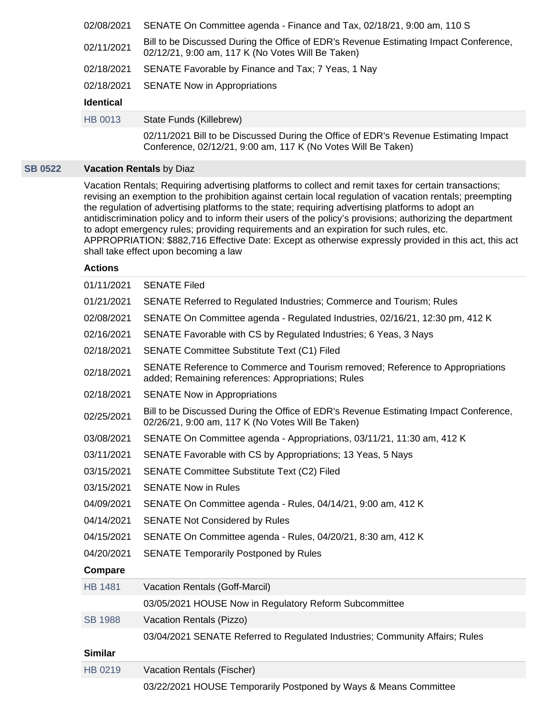| 02/08/2021       | SENATE On Committee agenda - Finance and Tax, 02/18/21, 9:00 am, 110 S                                                                     |
|------------------|--------------------------------------------------------------------------------------------------------------------------------------------|
| 02/11/2021       | Bill to be Discussed During the Office of EDR's Revenue Estimating Impact Conference,<br>02/12/21, 9:00 am, 117 K (No Votes Will Be Taken) |
| 02/18/2021       | SENATE Favorable by Finance and Tax; 7 Yeas, 1 Nay                                                                                         |
| 02/18/2021       | <b>SENATE Now in Appropriations</b>                                                                                                        |
| <b>Identical</b> |                                                                                                                                            |
| HB 0013          | State Funds (Killebrew)                                                                                                                    |
|                  |                                                                                                                                            |

02/11/2021 Bill to be Discussed During the Office of EDR's Revenue Estimating Impact Conference, 02/12/21, 9:00 am, 117 K (No Votes Will Be Taken)

## **[SB 0522](https://public.lobbytools.com/bills/56574) Vacation Rentals** by Diaz

Vacation Rentals; Requiring advertising platforms to collect and remit taxes for certain transactions; revising an exemption to the prohibition against certain local regulation of vacation rentals; preempting the regulation of advertising platforms to the state; requiring advertising platforms to adopt an antidiscrimination policy and to inform their users of the policy's provisions; authorizing the department to adopt emergency rules; providing requirements and an expiration for such rules, etc. APPROPRIATION: \$882,716 Effective Date: Except as otherwise expressly provided in this act, this act shall take effect upon becoming a law

| 01/11/2021     | <b>SENATE Filed</b>                                                                                                                        |
|----------------|--------------------------------------------------------------------------------------------------------------------------------------------|
| 01/21/2021     | SENATE Referred to Regulated Industries; Commerce and Tourism; Rules                                                                       |
| 02/08/2021     | SENATE On Committee agenda - Regulated Industries, 02/16/21, 12:30 pm, 412 K                                                               |
| 02/16/2021     | SENATE Favorable with CS by Regulated Industries; 6 Yeas, 3 Nays                                                                           |
| 02/18/2021     | <b>SENATE Committee Substitute Text (C1) Filed</b>                                                                                         |
| 02/18/2021     | SENATE Reference to Commerce and Tourism removed; Reference to Appropriations<br>added; Remaining references: Appropriations; Rules        |
| 02/18/2021     | <b>SENATE Now in Appropriations</b>                                                                                                        |
| 02/25/2021     | Bill to be Discussed During the Office of EDR's Revenue Estimating Impact Conference,<br>02/26/21, 9:00 am, 117 K (No Votes Will Be Taken) |
| 03/08/2021     | SENATE On Committee agenda - Appropriations, 03/11/21, 11:30 am, 412 K                                                                     |
| 03/11/2021     | SENATE Favorable with CS by Appropriations; 13 Yeas, 5 Nays                                                                                |
| 03/15/2021     | <b>SENATE Committee Substitute Text (C2) Filed</b>                                                                                         |
| 03/15/2021     | <b>SENATE Now in Rules</b>                                                                                                                 |
| 04/09/2021     | SENATE On Committee agenda - Rules, 04/14/21, 9:00 am, 412 K                                                                               |
| 04/14/2021     | <b>SENATE Not Considered by Rules</b>                                                                                                      |
| 04/15/2021     | SENATE On Committee agenda - Rules, 04/20/21, 8:30 am, 412 K                                                                               |
| 04/20/2021     | <b>SENATE Temporarily Postponed by Rules</b>                                                                                               |
| Compare        |                                                                                                                                            |
| <b>HB 1481</b> | Vacation Rentals (Goff-Marcil)                                                                                                             |
|                | 03/05/2021 HOUSE Now in Regulatory Reform Subcommittee                                                                                     |
| <b>SB 1988</b> | Vacation Rentals (Pizzo)                                                                                                                   |
|                | 03/04/2021 SENATE Referred to Regulated Industries; Community Affairs; Rules                                                               |
| <b>Similar</b> |                                                                                                                                            |
| HB 0219        | Vacation Rentals (Fischer)                                                                                                                 |
|                | 03/22/2021 HOUSE Temporarily Postponed by Ways & Means Committee                                                                           |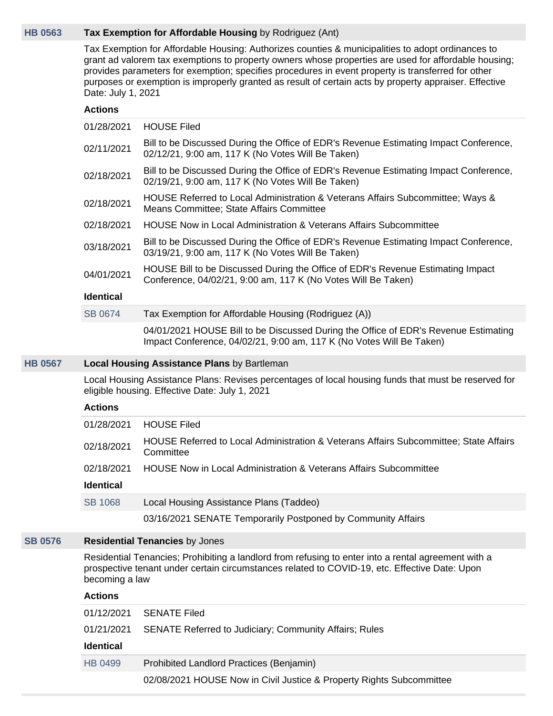## **[HB 0563](https://public.lobbytools.com/bills/57214) Tax Exemption for Affordable Housing** by Rodriguez (Ant)

Tax Exemption for Affordable Housing: Authorizes counties & municipalities to adopt ordinances to grant ad valorem tax exemptions to property owners whose properties are used for affordable housing; provides parameters for exemption; specifies procedures in event property is transferred for other purposes or exemption is improperly granted as result of certain acts by property appraiser. Effective Date: July 1, 2021

## **Actions**

| 01/28/2021       | <b>HOUSE Filed</b>                                                                                                                                          |  |  |  |  |
|------------------|-------------------------------------------------------------------------------------------------------------------------------------------------------------|--|--|--|--|
| 02/11/2021       | Bill to be Discussed During the Office of EDR's Revenue Estimating Impact Conference,<br>02/12/21, 9:00 am, 117 K (No Votes Will Be Taken)                  |  |  |  |  |
| 02/18/2021       | Bill to be Discussed During the Office of EDR's Revenue Estimating Impact Conference,<br>02/19/21, 9:00 am, 117 K (No Votes Will Be Taken)                  |  |  |  |  |
| 02/18/2021       | HOUSE Referred to Local Administration & Veterans Affairs Subcommittee; Ways &<br>Means Committee; State Affairs Committee                                  |  |  |  |  |
| 02/18/2021       | <b>HOUSE Now in Local Administration &amp; Veterans Affairs Subcommittee</b>                                                                                |  |  |  |  |
| 03/18/2021       | Bill to be Discussed During the Office of EDR's Revenue Estimating Impact Conference,<br>03/19/21, 9:00 am, 117 K (No Votes Will Be Taken)                  |  |  |  |  |
| 04/01/2021       | HOUSE Bill to be Discussed During the Office of EDR's Revenue Estimating Impact<br>Conference, 04/02/21, 9:00 am, 117 K (No Votes Will Be Taken)            |  |  |  |  |
| <b>Identical</b> |                                                                                                                                                             |  |  |  |  |
| SB 0674          | Tax Exemption for Affordable Housing (Rodriguez (A))                                                                                                        |  |  |  |  |
|                  | 04/01/2021 HOUSE Bill to be Discussed During the Office of EDR's Revenue Estimating<br>Impact Conference, 04/02/21, 9:00 am, 117 K (No Votes Will Be Taken) |  |  |  |  |
|                  | <b>Local Housing Assistance Plans by Bartleman</b>                                                                                                          |  |  |  |  |
|                  | Local Housing Assistance Plans: Revises percentages of local housing funds that must be reserved for<br>eligible housing. Effective Date: July 1, 2021      |  |  |  |  |
| <b>Actions</b>   |                                                                                                                                                             |  |  |  |  |
| 01/28/2021       | <b>HOUSE Filed</b>                                                                                                                                          |  |  |  |  |
| 02/18/2021       | HOUSE Referred to Local Administration & Veterans Affairs Subcommittee; State Affairs<br>Committee                                                          |  |  |  |  |
| 02/18/2021       | <b>HOUSE Now in Local Administration &amp; Veterans Affairs Subcommittee</b>                                                                                |  |  |  |  |
| <b>Identical</b> |                                                                                                                                                             |  |  |  |  |
| <b>SB 1068</b>   | Local Housing Assistance Plans (Taddeo)                                                                                                                     |  |  |  |  |

03/16/2021 SENATE Temporarily Postponed by Community Affairs

#### **[SB 0576](https://public.lobbytools.com/bills/56613) Residential Tenancies** by Jones

Residential Tenancies; Prohibiting a landlord from refusing to enter into a rental agreement with a prospective tenant under certain circumstances related to COVID-19, etc. Effective Date: Upon becoming a law

#### **Actions**

**[HB 0567](https://public.lobbytools.com/bills/57216)** 

| 01/12/2021 | <b>SENATE Filed</b>                                                  |  |  |  |
|------------|----------------------------------------------------------------------|--|--|--|
| 01/21/2021 | <b>SENATE Referred to Judiciary; Community Affairs; Rules</b>        |  |  |  |
| Identical  |                                                                      |  |  |  |
| HB 0499    | Prohibited Landlord Practices (Benjamin)                             |  |  |  |
|            |                                                                      |  |  |  |
|            | 02/08/2021 HOUSE Now in Civil Justice & Property Rights Subcommittee |  |  |  |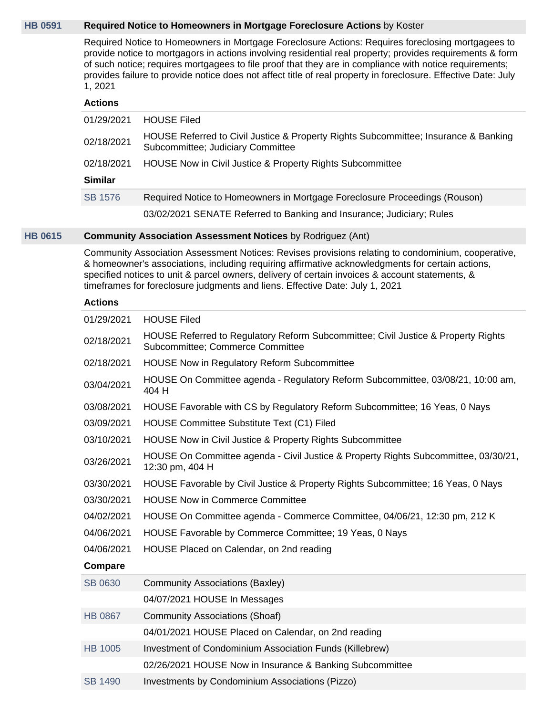## **[HB 0591](https://public.lobbytools.com/bills/57240) Required Notice to Homeowners in Mortgage Foreclosure Actions** by Koster

Required Notice to Homeowners in Mortgage Foreclosure Actions: Requires foreclosing mortgagees to provide notice to mortgagors in actions involving residential real property; provides requirements & form of such notice; requires mortgagees to file proof that they are in compliance with notice requirements; provides failure to provide notice does not affect title of real property in foreclosure. Effective Date: July 1, 2021

#### **Actions**

| 01/29/2021     | <b>HOUSE Filed</b>                                                                                                       |
|----------------|--------------------------------------------------------------------------------------------------------------------------|
| 02/18/2021     | HOUSE Referred to Civil Justice & Property Rights Subcommittee; Insurance & Banking<br>Subcommittee; Judiciary Committee |
| 02/18/2021     | HOUSE Now in Civil Justice & Property Rights Subcommittee                                                                |
| <b>Similar</b> |                                                                                                                          |
| <b>SB 1576</b> | Required Notice to Homeowners in Mortgage Foreclosure Proceedings (Rouson)                                               |
|                | 03/02/2021 SENATE Referred to Banking and Insurance; Judiciary; Rules                                                    |

#### **[HB 0615](https://public.lobbytools.com/bills/57270) Community Association Assessment Notices** by Rodriguez (Ant)

Community Association Assessment Notices: Revises provisions relating to condominium, cooperative, & homeowner's associations, including requiring affirmative acknowledgments for certain actions, specified notices to unit & parcel owners, delivery of certain invoices & account statements, & timeframes for foreclosure judgments and liens. Effective Date: July 1, 2021

| 01/29/2021     | <b>HOUSE Filed</b>                                                                                                           |  |  |  |
|----------------|------------------------------------------------------------------------------------------------------------------------------|--|--|--|
| 02/18/2021     | HOUSE Referred to Regulatory Reform Subcommittee; Civil Justice & Property Rights<br><b>Subcommittee: Commerce Committee</b> |  |  |  |
| 02/18/2021     | <b>HOUSE Now in Regulatory Reform Subcommittee</b>                                                                           |  |  |  |
| 03/04/2021     | HOUSE On Committee agenda - Regulatory Reform Subcommittee, 03/08/21, 10:00 am,<br>404 H                                     |  |  |  |
| 03/08/2021     | HOUSE Favorable with CS by Regulatory Reform Subcommittee; 16 Yeas, 0 Nays                                                   |  |  |  |
| 03/09/2021     | <b>HOUSE Committee Substitute Text (C1) Filed</b>                                                                            |  |  |  |
| 03/10/2021     | HOUSE Now in Civil Justice & Property Rights Subcommittee                                                                    |  |  |  |
| 03/26/2021     | HOUSE On Committee agenda - Civil Justice & Property Rights Subcommittee, 03/30/21,<br>12:30 pm, 404 H                       |  |  |  |
| 03/30/2021     | HOUSE Favorable by Civil Justice & Property Rights Subcommittee; 16 Yeas, 0 Nays                                             |  |  |  |
| 03/30/2021     | <b>HOUSE Now in Commerce Committee</b>                                                                                       |  |  |  |
| 04/02/2021     | HOUSE On Committee agenda - Commerce Committee, 04/06/21, 12:30 pm, 212 K                                                    |  |  |  |
| 04/06/2021     | HOUSE Favorable by Commerce Committee; 19 Yeas, 0 Nays                                                                       |  |  |  |
| 04/06/2021     | HOUSE Placed on Calendar, on 2nd reading                                                                                     |  |  |  |
| <b>Compare</b> |                                                                                                                              |  |  |  |
| SB 0630        | Community Associations (Baxley)                                                                                              |  |  |  |
|                | 04/07/2021 HOUSE In Messages                                                                                                 |  |  |  |
| <b>HB 0867</b> | <b>Community Associations (Shoaf)</b>                                                                                        |  |  |  |
|                | 04/01/2021 HOUSE Placed on Calendar, on 2nd reading                                                                          |  |  |  |
| <b>HB 1005</b> | Investment of Condominium Association Funds (Killebrew)                                                                      |  |  |  |
|                | 02/26/2021 HOUSE Now in Insurance & Banking Subcommittee                                                                     |  |  |  |
| <b>SB 1490</b> | Investments by Condominium Associations (Pizzo)                                                                              |  |  |  |
|                |                                                                                                                              |  |  |  |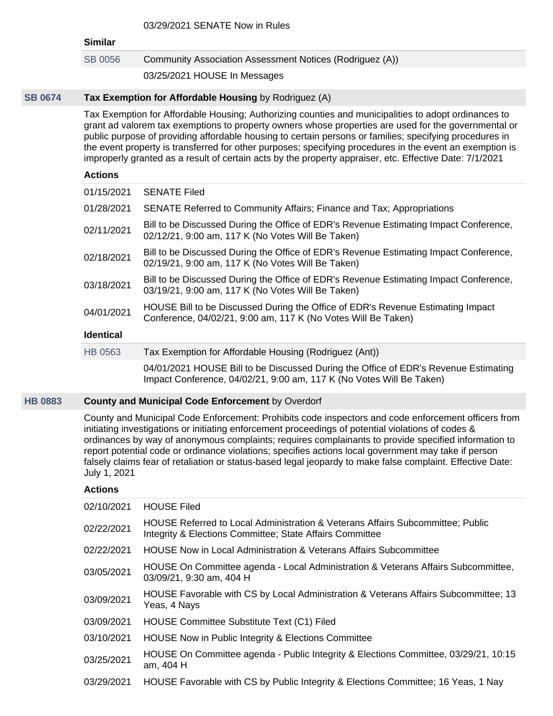| 03/29/2021 SENATE Now in Rules |  |  |  |  |  |
|--------------------------------|--|--|--|--|--|
|--------------------------------|--|--|--|--|--|

| <b>Similar</b>   | UJIZJIZUZ I JENATE NUW III KUIGS                                                                                                                                                                                                                                                                                                                                                                                                                                                                                                               |  |  |  |  |  |
|------------------|------------------------------------------------------------------------------------------------------------------------------------------------------------------------------------------------------------------------------------------------------------------------------------------------------------------------------------------------------------------------------------------------------------------------------------------------------------------------------------------------------------------------------------------------|--|--|--|--|--|
| <b>SB 0056</b>   | Community Association Assessment Notices (Rodriguez (A))                                                                                                                                                                                                                                                                                                                                                                                                                                                                                       |  |  |  |  |  |
|                  | 03/25/2021 HOUSE In Messages                                                                                                                                                                                                                                                                                                                                                                                                                                                                                                                   |  |  |  |  |  |
|                  | Tax Exemption for Affordable Housing by Rodriguez (A)                                                                                                                                                                                                                                                                                                                                                                                                                                                                                          |  |  |  |  |  |
|                  | Tax Exemption for Affordable Housing; Authorizing counties and municipalities to adopt ordinances to<br>grant ad valorem tax exemptions to property owners whose properties are used for the governmental or<br>public purpose of providing affordable housing to certain persons or families; specifying procedures in<br>the event property is transferred for other purposes; specifying procedures in the event an exemption is<br>improperly granted as a result of certain acts by the property appraiser, etc. Effective Date: 7/1/2021 |  |  |  |  |  |
| <b>Actions</b>   |                                                                                                                                                                                                                                                                                                                                                                                                                                                                                                                                                |  |  |  |  |  |
| 01/15/2021       | <b>SENATE Filed</b>                                                                                                                                                                                                                                                                                                                                                                                                                                                                                                                            |  |  |  |  |  |
| 01/28/2021       | SENATE Referred to Community Affairs; Finance and Tax; Appropriations                                                                                                                                                                                                                                                                                                                                                                                                                                                                          |  |  |  |  |  |
| 02/11/2021       | Bill to be Discussed During the Office of EDR's Revenue Estimating Impact Conference,<br>02/12/21, 9:00 am, 117 K (No Votes Will Be Taken)                                                                                                                                                                                                                                                                                                                                                                                                     |  |  |  |  |  |
| 02/18/2021       | Bill to be Discussed During the Office of EDR's Revenue Estimating Impact Conference,<br>02/19/21, 9:00 am, 117 K (No Votes Will Be Taken)                                                                                                                                                                                                                                                                                                                                                                                                     |  |  |  |  |  |
| 03/18/2021       | Bill to be Discussed During the Office of EDR's Revenue Estimating Impact Conference,<br>03/19/21, 9:00 am, 117 K (No Votes Will Be Taken)                                                                                                                                                                                                                                                                                                                                                                                                     |  |  |  |  |  |
| 04/01/2021       | HOUSE Bill to be Discussed During the Office of EDR's Revenue Estimating Impact<br>Conference, 04/02/21, 9:00 am, 117 K (No Votes Will Be Taken)                                                                                                                                                                                                                                                                                                                                                                                               |  |  |  |  |  |
| <b>Identical</b> |                                                                                                                                                                                                                                                                                                                                                                                                                                                                                                                                                |  |  |  |  |  |
| <b>HB 0563</b>   | Tax Exemption for Affordable Housing (Rodriguez (Ant))                                                                                                                                                                                                                                                                                                                                                                                                                                                                                         |  |  |  |  |  |
|                  | 04/01/2021 HOUSE Bill to be Discussed During the Office of EDR's Revenue Estimating<br>Impact Conference, 04/02/21, 9:00 am, 117 K (No Votes Will Be Taken)                                                                                                                                                                                                                                                                                                                                                                                    |  |  |  |  |  |
|                  | <b>County and Municipal Code Enforcement by Overdorf</b>                                                                                                                                                                                                                                                                                                                                                                                                                                                                                       |  |  |  |  |  |

County and Municipal Code Enforcement: Prohibits code inspectors and code enforcement officers from initiating investigations or initiating enforcement proceedings of potential violations of codes & ordinances by way of anonymous complaints; requires complainants to provide specified information to report potential code or ordinance violations; specifies actions local government may take if person falsely claims fear of retaliation or status-based legal jeopardy to make false complaint. Effective Date: July 1, 2021

# **Actions**

**[SB 0674](https://public.lobbytools.com/bills/56720)** 

**[HB 0883](https://public.lobbytools.com/bills/58168)** 

| 02/10/2021 | <b>HOUSE Filed</b>                                                                                                                                    |
|------------|-------------------------------------------------------------------------------------------------------------------------------------------------------|
| 02/22/2021 | <b>HOUSE Referred to Local Administration &amp; Veterans Affairs Subcommittee; Public</b><br>Integrity & Elections Committee; State Affairs Committee |
| 02/22/2021 | <b>HOUSE Now in Local Administration &amp; Veterans Affairs Subcommittee</b>                                                                          |
| 03/05/2021 | HOUSE On Committee agenda - Local Administration & Veterans Affairs Subcommittee,<br>03/09/21, 9:30 am, 404 H                                         |
| 03/09/2021 | HOUSE Favorable with CS by Local Administration & Veterans Affairs Subcommittee; 13<br>Yeas, 4 Nays                                                   |
| 03/09/2021 | HOUSE Committee Substitute Text (C1) Filed                                                                                                            |
| 03/10/2021 | HOUSE Now in Public Integrity & Elections Committee                                                                                                   |
| 03/25/2021 | HOUSE On Committee agenda - Public Integrity & Elections Committee, 03/29/21, 10:15<br>am, 404 H                                                      |
| 03/29/2021 | HOUSE Favorable with CS by Public Integrity & Elections Committee; 16 Yeas, 1 Nay                                                                     |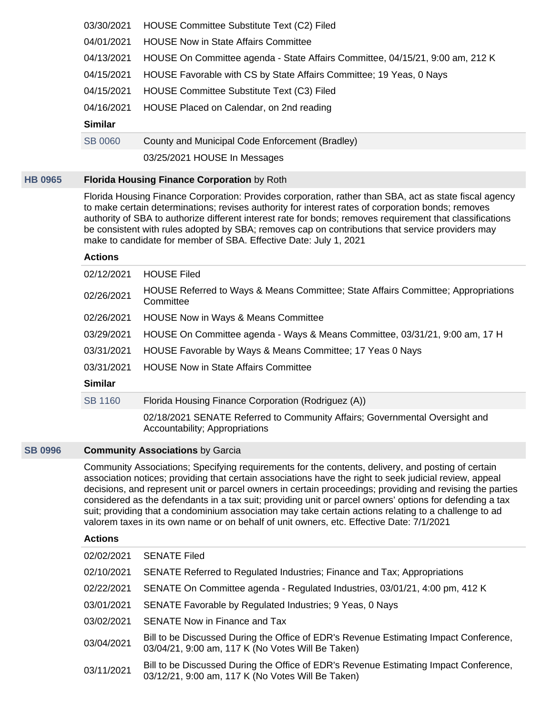| 03/30/2021     | HOUSE Committee Substitute Text (C2) Filed                                    |  |  |  |
|----------------|-------------------------------------------------------------------------------|--|--|--|
| 04/01/2021     | <b>HOUSE Now in State Affairs Committee</b>                                   |  |  |  |
| 04/13/2021     | HOUSE On Committee agenda - State Affairs Committee, 04/15/21, 9:00 am, 212 K |  |  |  |
| 04/15/2021     | HOUSE Favorable with CS by State Affairs Committee; 19 Yeas, 0 Nays           |  |  |  |
| 04/15/2021     | HOUSE Committee Substitute Text (C3) Filed                                    |  |  |  |
| 04/16/2021     | HOUSE Placed on Calendar, on 2nd reading                                      |  |  |  |
| <b>Similar</b> |                                                                               |  |  |  |
| <b>SB 0060</b> | County and Municipal Code Enforcement (Bradley)                               |  |  |  |
|                |                                                                               |  |  |  |

03/25/2021 HOUSE In Messages

## **[HB 0965](https://public.lobbytools.com/bills/58378) Florida Housing Finance Corporation** by Roth

Florida Housing Finance Corporation: Provides corporation, rather than SBA, act as state fiscal agency to make certain determinations; revises authority for interest rates of corporation bonds; removes authority of SBA to authorize different interest rate for bonds; removes requirement that classifications be consistent with rules adopted by SBA; removes cap on contributions that service providers may make to candidate for member of SBA. Effective Date: July 1, 2021

#### **Actions**

| 02/12/2021     | <b>HOUSE Filed</b><br>HOUSE Referred to Ways & Means Committee; State Affairs Committee; Appropriations       |
|----------------|---------------------------------------------------------------------------------------------------------------|
| 02/26/2021     | Committee                                                                                                     |
| 02/26/2021     | <b>HOUSE Now in Ways &amp; Means Committee</b>                                                                |
| 03/29/2021     | HOUSE On Committee agenda - Ways & Means Committee, 03/31/21, 9:00 am, 17 H                                   |
| 03/31/2021     | HOUSE Favorable by Ways & Means Committee; 17 Yeas 0 Nays                                                     |
| 03/31/2021     | <b>HOUSE Now in State Affairs Committee</b>                                                                   |
| <b>Similar</b> |                                                                                                               |
| <b>SB 1160</b> | Florida Housing Finance Corporation (Rodriguez (A))                                                           |
|                | 02/18/2021 SENATE Referred to Community Affairs; Governmental Oversight and<br>Accountability; Appropriations |

## **[SB 0996](https://public.lobbytools.com/bills/57437) Community Associations** by Garcia

Community Associations; Specifying requirements for the contents, delivery, and posting of certain association notices; providing that certain associations have the right to seek judicial review, appeal decisions, and represent unit or parcel owners in certain proceedings; providing and revising the parties considered as the defendants in a tax suit; providing unit or parcel owners' options for defending a tax suit; providing that a condominium association may take certain actions relating to a challenge to ad valorem taxes in its own name or on behalf of unit owners, etc. Effective Date: 7/1/2021

| 02/02/2021 | <b>SENATE Filed</b>                                                                                                                        |
|------------|--------------------------------------------------------------------------------------------------------------------------------------------|
| 02/10/2021 | SENATE Referred to Regulated Industries; Finance and Tax; Appropriations                                                                   |
| 02/22/2021 | SENATE On Committee agenda - Regulated Industries, 03/01/21, 4:00 pm, 412 K                                                                |
| 03/01/2021 | SENATE Favorable by Regulated Industries; 9 Yeas, 0 Nays                                                                                   |
| 03/02/2021 | SENATE Now in Finance and Tax                                                                                                              |
| 03/04/2021 | Bill to be Discussed During the Office of EDR's Revenue Estimating Impact Conference,<br>03/04/21, 9:00 am, 117 K (No Votes Will Be Taken) |
| 03/11/2021 | Bill to be Discussed During the Office of EDR's Revenue Estimating Impact Conference,<br>03/12/21, 9:00 am, 117 K (No Votes Will Be Taken) |
|            |                                                                                                                                            |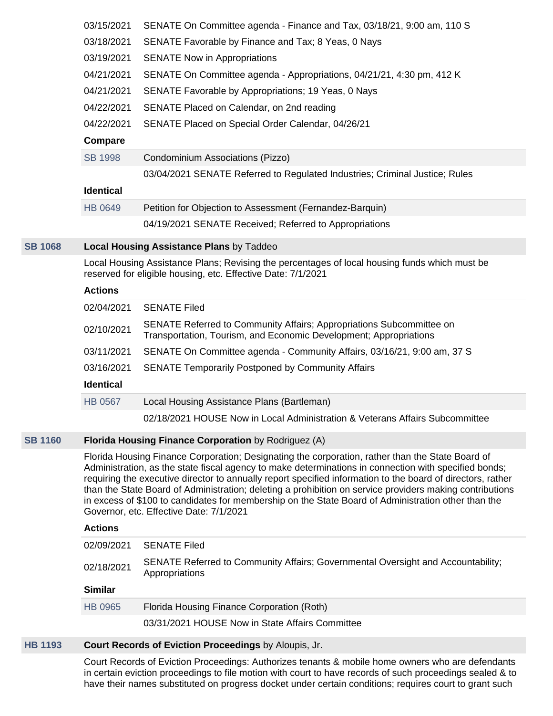|                | 03/15/2021<br>03/18/2021<br>03/19/2021<br>04/21/2021<br>04/21/2021<br>04/22/2021<br>04/22/2021<br>Compare<br><b>SB 1998</b>                                                                                                                                                                                                                                                                                                                                                                                                                                                            | SENATE On Committee agenda - Finance and Tax, 03/18/21, 9:00 am, 110 S<br>SENATE Favorable by Finance and Tax; 8 Yeas, 0 Nays<br><b>SENATE Now in Appropriations</b><br>SENATE On Committee agenda - Appropriations, 04/21/21, 4:30 pm, 412 K<br>SENATE Favorable by Appropriations; 19 Yeas, 0 Nays<br>SENATE Placed on Calendar, on 2nd reading<br>SENATE Placed on Special Order Calendar, 04/26/21<br>Condominium Associations (Pizzo) |  |
|----------------|----------------------------------------------------------------------------------------------------------------------------------------------------------------------------------------------------------------------------------------------------------------------------------------------------------------------------------------------------------------------------------------------------------------------------------------------------------------------------------------------------------------------------------------------------------------------------------------|--------------------------------------------------------------------------------------------------------------------------------------------------------------------------------------------------------------------------------------------------------------------------------------------------------------------------------------------------------------------------------------------------------------------------------------------|--|
|                | <b>Identical</b>                                                                                                                                                                                                                                                                                                                                                                                                                                                                                                                                                                       | 03/04/2021 SENATE Referred to Regulated Industries; Criminal Justice; Rules                                                                                                                                                                                                                                                                                                                                                                |  |
|                | <b>HB 0649</b>                                                                                                                                                                                                                                                                                                                                                                                                                                                                                                                                                                         |                                                                                                                                                                                                                                                                                                                                                                                                                                            |  |
|                |                                                                                                                                                                                                                                                                                                                                                                                                                                                                                                                                                                                        | Petition for Objection to Assessment (Fernandez-Barquin)<br>04/19/2021 SENATE Received; Referred to Appropriations                                                                                                                                                                                                                                                                                                                         |  |
|                |                                                                                                                                                                                                                                                                                                                                                                                                                                                                                                                                                                                        |                                                                                                                                                                                                                                                                                                                                                                                                                                            |  |
| <b>SB 1068</b> |                                                                                                                                                                                                                                                                                                                                                                                                                                                                                                                                                                                        | <b>Local Housing Assistance Plans by Taddeo</b>                                                                                                                                                                                                                                                                                                                                                                                            |  |
|                |                                                                                                                                                                                                                                                                                                                                                                                                                                                                                                                                                                                        | Local Housing Assistance Plans; Revising the percentages of local housing funds which must be<br>reserved for eligible housing, etc. Effective Date: 7/1/2021                                                                                                                                                                                                                                                                              |  |
|                | <b>Actions</b>                                                                                                                                                                                                                                                                                                                                                                                                                                                                                                                                                                         |                                                                                                                                                                                                                                                                                                                                                                                                                                            |  |
|                | 02/04/2021                                                                                                                                                                                                                                                                                                                                                                                                                                                                                                                                                                             | <b>SENATE Filed</b>                                                                                                                                                                                                                                                                                                                                                                                                                        |  |
|                | 02/10/2021                                                                                                                                                                                                                                                                                                                                                                                                                                                                                                                                                                             | SENATE Referred to Community Affairs; Appropriations Subcommittee on<br>Transportation, Tourism, and Economic Development; Appropriations                                                                                                                                                                                                                                                                                                  |  |
|                | 03/11/2021                                                                                                                                                                                                                                                                                                                                                                                                                                                                                                                                                                             | SENATE On Committee agenda - Community Affairs, 03/16/21, 9:00 am, 37 S                                                                                                                                                                                                                                                                                                                                                                    |  |
|                | 03/16/2021                                                                                                                                                                                                                                                                                                                                                                                                                                                                                                                                                                             | <b>SENATE Temporarily Postponed by Community Affairs</b>                                                                                                                                                                                                                                                                                                                                                                                   |  |
|                | <b>Identical</b>                                                                                                                                                                                                                                                                                                                                                                                                                                                                                                                                                                       |                                                                                                                                                                                                                                                                                                                                                                                                                                            |  |
|                | <b>HB 0567</b>                                                                                                                                                                                                                                                                                                                                                                                                                                                                                                                                                                         | Local Housing Assistance Plans (Bartleman)                                                                                                                                                                                                                                                                                                                                                                                                 |  |
|                |                                                                                                                                                                                                                                                                                                                                                                                                                                                                                                                                                                                        | 02/18/2021 HOUSE Now in Local Administration & Veterans Affairs Subcommittee                                                                                                                                                                                                                                                                                                                                                               |  |
| <b>SB 1160</b> |                                                                                                                                                                                                                                                                                                                                                                                                                                                                                                                                                                                        | Florida Housing Finance Corporation by Rodriguez (A)                                                                                                                                                                                                                                                                                                                                                                                       |  |
|                | Florida Housing Finance Corporation; Designating the corporation, rather than the State Board of<br>Administration, as the state fiscal agency to make determinations in connection with specified bonds;<br>requiring the executive director to annually report specified information to the board of directors, rather<br>than the State Board of Administration; deleting a prohibition on service providers making contributions<br>in excess of \$100 to candidates for membership on the State Board of Administration other than the<br>Governor, etc. Effective Date: 7/1/2021 |                                                                                                                                                                                                                                                                                                                                                                                                                                            |  |
|                | <b>Actions</b>                                                                                                                                                                                                                                                                                                                                                                                                                                                                                                                                                                         |                                                                                                                                                                                                                                                                                                                                                                                                                                            |  |
|                | 02/09/2021                                                                                                                                                                                                                                                                                                                                                                                                                                                                                                                                                                             | <b>SENATE Filed</b>                                                                                                                                                                                                                                                                                                                                                                                                                        |  |
|                | 02/18/2021                                                                                                                                                                                                                                                                                                                                                                                                                                                                                                                                                                             | SENATE Referred to Community Affairs; Governmental Oversight and Accountability;<br>Appropriations                                                                                                                                                                                                                                                                                                                                         |  |
|                | <b>Similar</b>                                                                                                                                                                                                                                                                                                                                                                                                                                                                                                                                                                         |                                                                                                                                                                                                                                                                                                                                                                                                                                            |  |
|                | HB 0965                                                                                                                                                                                                                                                                                                                                                                                                                                                                                                                                                                                | Florida Housing Finance Corporation (Roth)                                                                                                                                                                                                                                                                                                                                                                                                 |  |
|                |                                                                                                                                                                                                                                                                                                                                                                                                                                                                                                                                                                                        | 03/31/2021 HOUSE Now in State Affairs Committee                                                                                                                                                                                                                                                                                                                                                                                            |  |
|                |                                                                                                                                                                                                                                                                                                                                                                                                                                                                                                                                                                                        |                                                                                                                                                                                                                                                                                                                                                                                                                                            |  |

# **[HB 1193](https://public.lobbytools.com/bills/58663) Court Records of Eviction Proceedings** by Aloupis, Jr.

**[SB 1068](https://public.lobbytools.com/bills/57755)** 

Court Records of Eviction Proceedings: Authorizes tenants & mobile home owners who are defendants in certain eviction proceedings to file motion with court to have records of such proceedings sealed & to have their names substituted on progress docket under certain conditions; requires court to grant such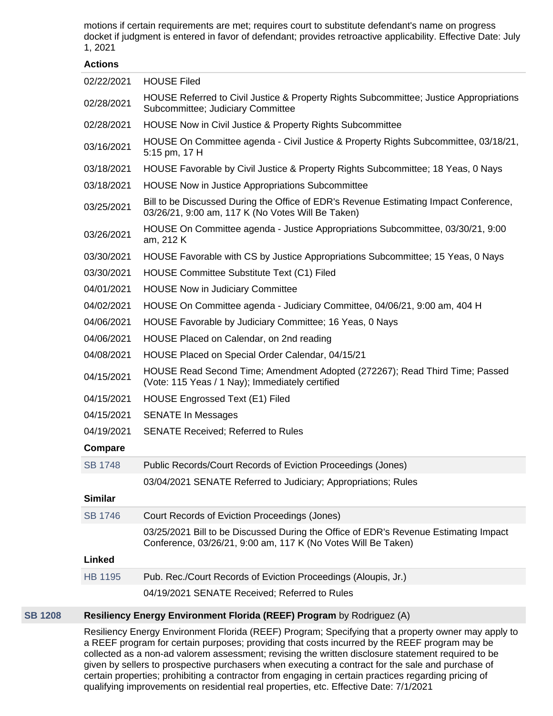motions if certain requirements are met; requires court to substitute defendant's name on progress docket if judgment is entered in favor of defendant; provides retroactive applicability. Effective Date: July 1, 2021

#### **Actions**

| 02/22/2021     | <b>HOUSE Filed</b>                                                                                                                                    |  |  |
|----------------|-------------------------------------------------------------------------------------------------------------------------------------------------------|--|--|
| 02/28/2021     | HOUSE Referred to Civil Justice & Property Rights Subcommittee; Justice Appropriations<br>Subcommittee; Judiciary Committee                           |  |  |
| 02/28/2021     | HOUSE Now in Civil Justice & Property Rights Subcommittee                                                                                             |  |  |
| 03/16/2021     | HOUSE On Committee agenda - Civil Justice & Property Rights Subcommittee, 03/18/21,<br>5:15 pm, 17 H                                                  |  |  |
| 03/18/2021     | HOUSE Favorable by Civil Justice & Property Rights Subcommittee; 18 Yeas, 0 Nays                                                                      |  |  |
| 03/18/2021     | <b>HOUSE Now in Justice Appropriations Subcommittee</b>                                                                                               |  |  |
| 03/25/2021     | Bill to be Discussed During the Office of EDR's Revenue Estimating Impact Conference,<br>03/26/21, 9:00 am, 117 K (No Votes Will Be Taken)            |  |  |
| 03/26/2021     | HOUSE On Committee agenda - Justice Appropriations Subcommittee, 03/30/21, 9:00<br>am, 212 K                                                          |  |  |
| 03/30/2021     | HOUSE Favorable with CS by Justice Appropriations Subcommittee; 15 Yeas, 0 Nays                                                                       |  |  |
| 03/30/2021     | <b>HOUSE Committee Substitute Text (C1) Filed</b>                                                                                                     |  |  |
| 04/01/2021     | <b>HOUSE Now in Judiciary Committee</b>                                                                                                               |  |  |
| 04/02/2021     | HOUSE On Committee agenda - Judiciary Committee, 04/06/21, 9:00 am, 404 H                                                                             |  |  |
| 04/06/2021     | HOUSE Favorable by Judiciary Committee; 16 Yeas, 0 Nays                                                                                               |  |  |
| 04/06/2021     | HOUSE Placed on Calendar, on 2nd reading                                                                                                              |  |  |
| 04/08/2021     | HOUSE Placed on Special Order Calendar, 04/15/21                                                                                                      |  |  |
| 04/15/2021     | HOUSE Read Second Time; Amendment Adopted (272267); Read Third Time; Passed<br>(Vote: 115 Yeas / 1 Nay); Immediately certified                        |  |  |
| 04/15/2021     | <b>HOUSE Engrossed Text (E1) Filed</b>                                                                                                                |  |  |
| 04/15/2021     | <b>SENATE In Messages</b>                                                                                                                             |  |  |
| 04/19/2021     | <b>SENATE Received; Referred to Rules</b>                                                                                                             |  |  |
| Compare        |                                                                                                                                                       |  |  |
| <b>SB 1748</b> | Public Records/Court Records of Eviction Proceedings (Jones)                                                                                          |  |  |
|                | 03/04/2021 SENATE Referred to Judiciary; Appropriations; Rules                                                                                        |  |  |
| <b>Similar</b> |                                                                                                                                                       |  |  |
| <b>SB 1746</b> | Court Records of Eviction Proceedings (Jones)                                                                                                         |  |  |
|                | 03/25/2021 Bill to be Discussed During the Office of EDR's Revenue Estimating Impact<br>Conference, 03/26/21, 9:00 am, 117 K (No Votes Will Be Taken) |  |  |
| Linked         |                                                                                                                                                       |  |  |
| <b>HB 1195</b> | Pub. Rec./Court Records of Eviction Proceedings (Aloupis, Jr.)                                                                                        |  |  |
|                | 04/19/2021 SENATE Received; Referred to Rules                                                                                                         |  |  |

## **[SB 1208](https://public.lobbytools.com/bills/58199) Resiliency Energy Environment Florida (REEF) Program** by Rodriguez (A)

Resiliency Energy Environment Florida (REEF) Program; Specifying that a property owner may apply to a REEF program for certain purposes; providing that costs incurred by the REEF program may be collected as a non-ad valorem assessment; revising the written disclosure statement required to be given by sellers to prospective purchasers when executing a contract for the sale and purchase of certain properties; prohibiting a contractor from engaging in certain practices regarding pricing of qualifying improvements on residential real properties, etc. Effective Date: 7/1/2021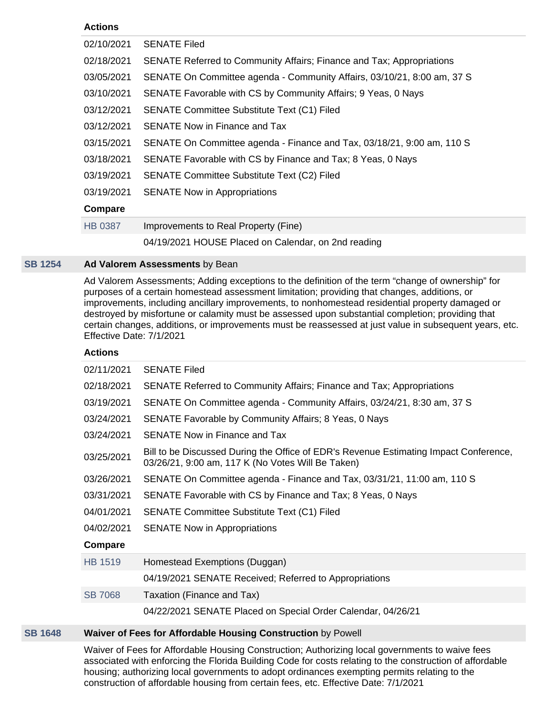## **Actions**

| 02/10/2021     | <b>SENATE Filed</b>                                                     |  |  |  |
|----------------|-------------------------------------------------------------------------|--|--|--|
| 02/18/2021     | SENATE Referred to Community Affairs; Finance and Tax; Appropriations   |  |  |  |
| 03/05/2021     | SENATE On Committee agenda - Community Affairs, 03/10/21, 8:00 am, 37 S |  |  |  |
| 03/10/2021     | SENATE Favorable with CS by Community Affairs; 9 Yeas, 0 Nays           |  |  |  |
| 03/12/2021     | <b>SENATE Committee Substitute Text (C1) Filed</b>                      |  |  |  |
| 03/12/2021     | SENATE Now in Finance and Tax                                           |  |  |  |
| 03/15/2021     | SENATE On Committee agenda - Finance and Tax, 03/18/21, 9:00 am, 110 S  |  |  |  |
| 03/18/2021     | SENATE Favorable with CS by Finance and Tax; 8 Yeas, 0 Nays             |  |  |  |
| 03/19/2021     | <b>SENATE Committee Substitute Text (C2) Filed</b>                      |  |  |  |
| 03/19/2021     | <b>SENATE Now in Appropriations</b>                                     |  |  |  |
| Compare        |                                                                         |  |  |  |
| <b>HB 0387</b> | Improvements to Real Property (Fine)                                    |  |  |  |
|                | 04/19/2021 HOUSE Placed on Calendar, on 2nd reading                     |  |  |  |

## **[SB 1254](https://public.lobbytools.com/bills/58336) Ad Valorem Assessments** by Bean

Ad Valorem Assessments; Adding exceptions to the definition of the term "change of ownership" for purposes of a certain homestead assessment limitation; providing that changes, additions, or improvements, including ancillary improvements, to nonhomestead residential property damaged or destroyed by misfortune or calamity must be assessed upon substantial completion; providing that certain changes, additions, or improvements must be reassessed at just value in subsequent years, etc. Effective Date: 7/1/2021

## **Actions**

| 02/11/2021     | <b>SENATE Filed</b>                                                                                                                        |  |  |  |
|----------------|--------------------------------------------------------------------------------------------------------------------------------------------|--|--|--|
| 02/18/2021     | SENATE Referred to Community Affairs; Finance and Tax; Appropriations                                                                      |  |  |  |
| 03/19/2021     | SENATE On Committee agenda - Community Affairs, 03/24/21, 8:30 am, 37 S                                                                    |  |  |  |
| 03/24/2021     | SENATE Favorable by Community Affairs; 8 Yeas, 0 Nays                                                                                      |  |  |  |
| 03/24/2021     | <b>SENATE Now in Finance and Tax</b>                                                                                                       |  |  |  |
| 03/25/2021     | Bill to be Discussed During the Office of EDR's Revenue Estimating Impact Conference,<br>03/26/21, 9:00 am, 117 K (No Votes Will Be Taken) |  |  |  |
| 03/26/2021     | SENATE On Committee agenda - Finance and Tax, 03/31/21, 11:00 am, 110 S                                                                    |  |  |  |
| 03/31/2021     | SENATE Favorable with CS by Finance and Tax; 8 Yeas, 0 Nays                                                                                |  |  |  |
| 04/01/2021     | <b>SENATE Committee Substitute Text (C1) Filed</b>                                                                                         |  |  |  |
| 04/02/2021     | <b>SENATE Now in Appropriations</b>                                                                                                        |  |  |  |
| Compare        |                                                                                                                                            |  |  |  |
| HB 1519        | Homestead Exemptions (Duggan)                                                                                                              |  |  |  |
|                | 04/19/2021 SENATE Received; Referred to Appropriations                                                                                     |  |  |  |
| <b>SB 7068</b> | Taxation (Finance and Tax)                                                                                                                 |  |  |  |
|                | 04/22/2021 SENATE Placed on Special Order Calendar, 04/26/21                                                                               |  |  |  |

## **[SB 1648](https://public.lobbytools.com/bills/58797) Waiver of Fees for Affordable Housing Construction** by Powell

Waiver of Fees for Affordable Housing Construction; Authorizing local governments to waive fees associated with enforcing the Florida Building Code for costs relating to the construction of affordable housing; authorizing local governments to adopt ordinances exempting permits relating to the construction of affordable housing from certain fees, etc. Effective Date: 7/1/2021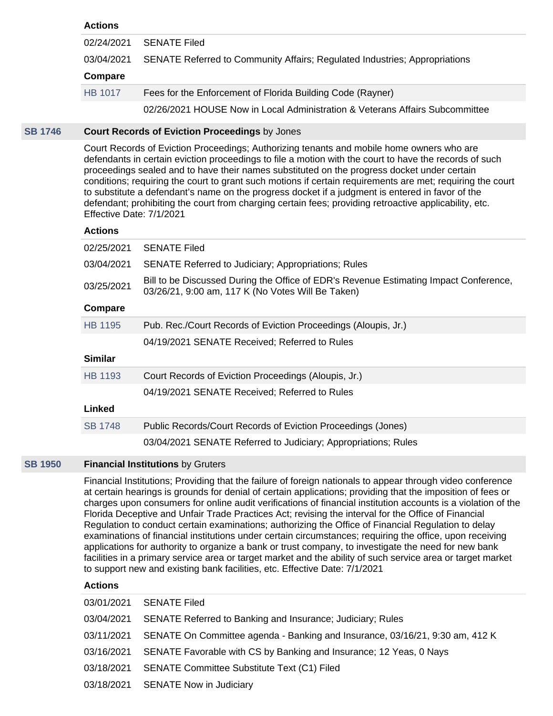## **Actions**

| 02/24/2021     | <b>SENATE Filed</b>                                                          |  |  |
|----------------|------------------------------------------------------------------------------|--|--|
| 03/04/2021     | SENATE Referred to Community Affairs; Regulated Industries; Appropriations   |  |  |
| Compare        |                                                                              |  |  |
| <b>HB 1017</b> | Fees for the Enforcement of Florida Building Code (Rayner)                   |  |  |
|                | 02/26/2021 HOUSE Now in Local Administration & Veterans Affairs Subcommittee |  |  |

## **[SB 1746](https://public.lobbytools.com/bills/58888) Court Records of Eviction Proceedings** by Jones

Court Records of Eviction Proceedings; Authorizing tenants and mobile home owners who are defendants in certain eviction proceedings to file a motion with the court to have the records of such proceedings sealed and to have their names substituted on the progress docket under certain conditions; requiring the court to grant such motions if certain requirements are met; requiring the court to substitute a defendant's name on the progress docket if a judgment is entered in favor of the defendant; prohibiting the court from charging certain fees; providing retroactive applicability, etc. Effective Date: 7/1/2021

#### **Actions**

| 02/25/2021     | <b>SENATE Filed</b>                                                                                                                        |  |  |
|----------------|--------------------------------------------------------------------------------------------------------------------------------------------|--|--|
| 03/04/2021     | <b>SENATE Referred to Judiciary; Appropriations; Rules</b>                                                                                 |  |  |
| 03/25/2021     | Bill to be Discussed During the Office of EDR's Revenue Estimating Impact Conference,<br>03/26/21, 9:00 am, 117 K (No Votes Will Be Taken) |  |  |
| Compare        |                                                                                                                                            |  |  |
| HB 1195        | Pub. Rec./Court Records of Eviction Proceedings (Aloupis, Jr.)                                                                             |  |  |
|                | 04/19/2021 SENATE Received; Referred to Rules                                                                                              |  |  |
| <b>Similar</b> |                                                                                                                                            |  |  |
| HB 1193        | Court Records of Eviction Proceedings (Aloupis, Jr.)                                                                                       |  |  |
|                | 04/19/2021 SENATE Received; Referred to Rules                                                                                              |  |  |
| Linked         |                                                                                                                                            |  |  |
| <b>SB 1748</b> | Public Records/Court Records of Eviction Proceedings (Jones)                                                                               |  |  |
|                | 03/04/2021 SENATE Referred to Judiciary; Appropriations; Rules                                                                             |  |  |

#### **[SB 1950](https://public.lobbytools.com/bills/59103) Financial Institutions** by Gruters

Financial Institutions; Providing that the failure of foreign nationals to appear through video conference at certain hearings is grounds for denial of certain applications; providing that the imposition of fees or charges upon consumers for online audit verifications of financial institution accounts is a violation of the Florida Deceptive and Unfair Trade Practices Act; revising the interval for the Office of Financial Regulation to conduct certain examinations; authorizing the Office of Financial Regulation to delay examinations of financial institutions under certain circumstances; requiring the office, upon receiving applications for authority to organize a bank or trust company, to investigate the need for new bank facilities in a primary service area or target market and the ability of such service area or target market to support new and existing bank facilities, etc. Effective Date: 7/1/2021

|            | 03/01/2021 SENATE Filed                                                                 |
|------------|-----------------------------------------------------------------------------------------|
|            | 03/04/2021 SENATE Referred to Banking and Insurance; Judiciary; Rules                   |
|            | 03/11/2021 SENATE On Committee agenda - Banking and Insurance, 03/16/21, 9:30 am, 412 K |
|            | 03/16/2021 SENATE Favorable with CS by Banking and Insurance; 12 Yeas, 0 Nays           |
| 03/18/2021 | <b>SENATE Committee Substitute Text (C1) Filed</b>                                      |
|            | 03/18/2021 SENATE Now in Judiciary                                                      |
|            |                                                                                         |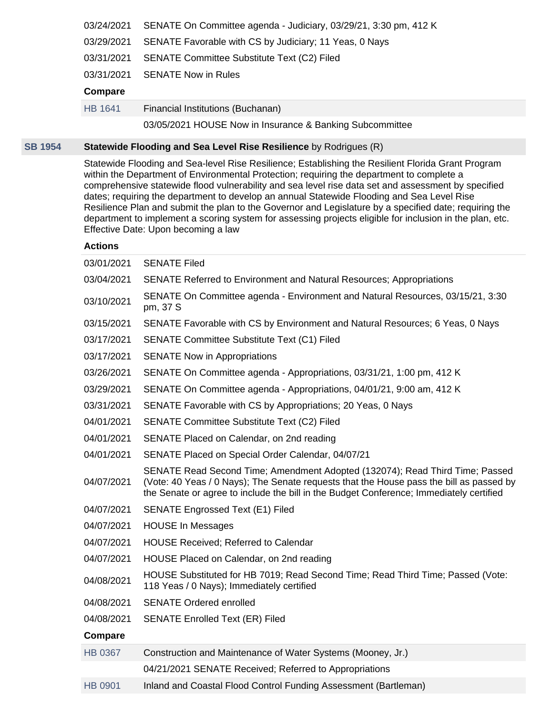|         | 03/24/2021 SENATE On Committee agenda - Judiciary, 03/29/21, 3:30 pm, 412 K |  |  |
|---------|-----------------------------------------------------------------------------|--|--|
|         | 03/29/2021 SENATE Favorable with CS by Judiciary; 11 Yeas, 0 Nays           |  |  |
|         | 03/31/2021 SENATE Committee Substitute Text (C2) Filed                      |  |  |
|         | 03/31/2021 SENATE Now in Rules                                              |  |  |
| Compare |                                                                             |  |  |
| HB 1641 | Financial Institutions (Buchanan)                                           |  |  |

03/05/2021 HOUSE Now in Insurance & Banking Subcommittee

## **[SB 1954](https://public.lobbytools.com/bills/59105) Statewide Flooding and Sea Level Rise Resilience** by Rodrigues (R)

Statewide Flooding and Sea-level Rise Resilience; Establishing the Resilient Florida Grant Program within the Department of Environmental Protection; requiring the department to complete a comprehensive statewide flood vulnerability and sea level rise data set and assessment by specified dates; requiring the department to develop an annual Statewide Flooding and Sea Level Rise Resilience Plan and submit the plan to the Governor and Legislature by a specified date; requiring the department to implement a scoring system for assessing projects eligible for inclusion in the plan, etc. Effective Date: Upon becoming a law

| 03/01/2021     | <b>SENATE Filed</b>                                                                                                                                                                                                                                                |  |  |  |
|----------------|--------------------------------------------------------------------------------------------------------------------------------------------------------------------------------------------------------------------------------------------------------------------|--|--|--|
| 03/04/2021     | SENATE Referred to Environment and Natural Resources; Appropriations                                                                                                                                                                                               |  |  |  |
| 03/10/2021     | SENATE On Committee agenda - Environment and Natural Resources, 03/15/21, 3:30<br>pm, 37 S                                                                                                                                                                         |  |  |  |
| 03/15/2021     | SENATE Favorable with CS by Environment and Natural Resources; 6 Yeas, 0 Nays                                                                                                                                                                                      |  |  |  |
| 03/17/2021     | SENATE Committee Substitute Text (C1) Filed                                                                                                                                                                                                                        |  |  |  |
| 03/17/2021     | <b>SENATE Now in Appropriations</b>                                                                                                                                                                                                                                |  |  |  |
| 03/26/2021     | SENATE On Committee agenda - Appropriations, 03/31/21, 1:00 pm, 412 K                                                                                                                                                                                              |  |  |  |
| 03/29/2021     | SENATE On Committee agenda - Appropriations, 04/01/21, 9:00 am, 412 K                                                                                                                                                                                              |  |  |  |
| 03/31/2021     | SENATE Favorable with CS by Appropriations; 20 Yeas, 0 Nays                                                                                                                                                                                                        |  |  |  |
| 04/01/2021     | <b>SENATE Committee Substitute Text (C2) Filed</b>                                                                                                                                                                                                                 |  |  |  |
| 04/01/2021     | SENATE Placed on Calendar, on 2nd reading                                                                                                                                                                                                                          |  |  |  |
| 04/01/2021     | SENATE Placed on Special Order Calendar, 04/07/21                                                                                                                                                                                                                  |  |  |  |
| 04/07/2021     | SENATE Read Second Time; Amendment Adopted (132074); Read Third Time; Passed<br>(Vote: 40 Yeas / 0 Nays); The Senate requests that the House pass the bill as passed by<br>the Senate or agree to include the bill in the Budget Conference; Immediately certified |  |  |  |
| 04/07/2021     | <b>SENATE Engrossed Text (E1) Filed</b>                                                                                                                                                                                                                            |  |  |  |
| 04/07/2021     | <b>HOUSE In Messages</b>                                                                                                                                                                                                                                           |  |  |  |
| 04/07/2021     | <b>HOUSE Received; Referred to Calendar</b>                                                                                                                                                                                                                        |  |  |  |
| 04/07/2021     | HOUSE Placed on Calendar, on 2nd reading                                                                                                                                                                                                                           |  |  |  |
| 04/08/2021     | HOUSE Substituted for HB 7019; Read Second Time; Read Third Time; Passed (Vote:<br>118 Yeas / 0 Nays); Immediately certified                                                                                                                                       |  |  |  |
| 04/08/2021     | <b>SENATE Ordered enrolled</b>                                                                                                                                                                                                                                     |  |  |  |
| 04/08/2021     | <b>SENATE Enrolled Text (ER) Filed</b>                                                                                                                                                                                                                             |  |  |  |
| <b>Compare</b> |                                                                                                                                                                                                                                                                    |  |  |  |
| <b>HB 0367</b> | Construction and Maintenance of Water Systems (Mooney, Jr.)                                                                                                                                                                                                        |  |  |  |
|                | 04/21/2021 SENATE Received; Referred to Appropriations                                                                                                                                                                                                             |  |  |  |
| <b>HB 0901</b> | Inland and Coastal Flood Control Funding Assessment (Bartleman)                                                                                                                                                                                                    |  |  |  |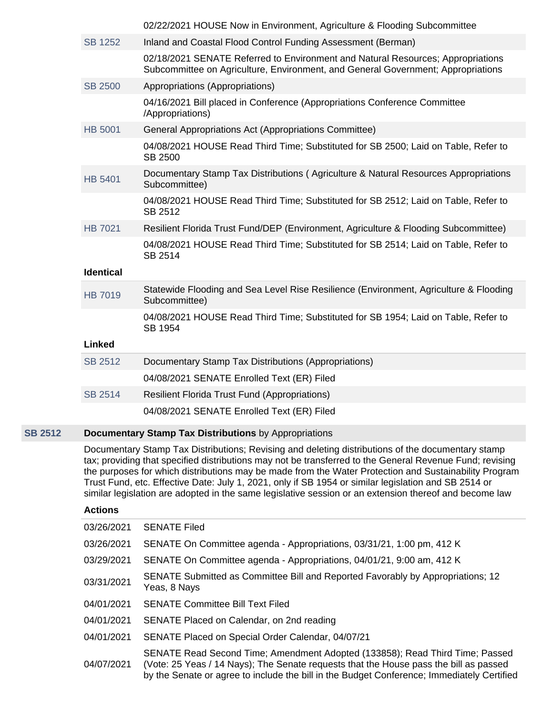|                  | 02/22/2021 HOUSE Now in Environment, Agriculture & Flooding Subcommittee                                                                                                                                                                                                                                                                                                                                                       |  |  |  |
|------------------|--------------------------------------------------------------------------------------------------------------------------------------------------------------------------------------------------------------------------------------------------------------------------------------------------------------------------------------------------------------------------------------------------------------------------------|--|--|--|
| <b>SB 1252</b>   | Inland and Coastal Flood Control Funding Assessment (Berman)                                                                                                                                                                                                                                                                                                                                                                   |  |  |  |
|                  | 02/18/2021 SENATE Referred to Environment and Natural Resources; Appropriations<br>Subcommittee on Agriculture, Environment, and General Government; Appropriations                                                                                                                                                                                                                                                            |  |  |  |
| <b>SB 2500</b>   | Appropriations (Appropriations)                                                                                                                                                                                                                                                                                                                                                                                                |  |  |  |
|                  | 04/16/2021 Bill placed in Conference (Appropriations Conference Committee<br>/Appropriations)                                                                                                                                                                                                                                                                                                                                  |  |  |  |
| <b>HB 5001</b>   | General Appropriations Act (Appropriations Committee)                                                                                                                                                                                                                                                                                                                                                                          |  |  |  |
|                  | 04/08/2021 HOUSE Read Third Time; Substituted for SB 2500; Laid on Table, Refer to<br>SB 2500                                                                                                                                                                                                                                                                                                                                  |  |  |  |
| <b>HB 5401</b>   | Documentary Stamp Tax Distributions (Agriculture & Natural Resources Appropriations<br>Subcommittee)                                                                                                                                                                                                                                                                                                                           |  |  |  |
|                  | 04/08/2021 HOUSE Read Third Time; Substituted for SB 2512; Laid on Table, Refer to<br>SB 2512                                                                                                                                                                                                                                                                                                                                  |  |  |  |
| <b>HB 7021</b>   | Resilient Florida Trust Fund/DEP (Environment, Agriculture & Flooding Subcommittee)                                                                                                                                                                                                                                                                                                                                            |  |  |  |
|                  | 04/08/2021 HOUSE Read Third Time; Substituted for SB 2514; Laid on Table, Refer to<br>SB 2514                                                                                                                                                                                                                                                                                                                                  |  |  |  |
| <b>Identical</b> |                                                                                                                                                                                                                                                                                                                                                                                                                                |  |  |  |
| <b>HB 7019</b>   | Statewide Flooding and Sea Level Rise Resilience (Environment, Agriculture & Flooding<br>Subcommittee)                                                                                                                                                                                                                                                                                                                         |  |  |  |
|                  | 04/08/2021 HOUSE Read Third Time; Substituted for SB 1954; Laid on Table, Refer to<br>SB 1954                                                                                                                                                                                                                                                                                                                                  |  |  |  |
| <b>Linked</b>    |                                                                                                                                                                                                                                                                                                                                                                                                                                |  |  |  |
| SB 2512          | Documentary Stamp Tax Distributions (Appropriations)                                                                                                                                                                                                                                                                                                                                                                           |  |  |  |
|                  | 04/08/2021 SENATE Enrolled Text (ER) Filed                                                                                                                                                                                                                                                                                                                                                                                     |  |  |  |
| SB 2514          | <b>Resilient Florida Trust Fund (Appropriations)</b>                                                                                                                                                                                                                                                                                                                                                                           |  |  |  |
|                  | 04/08/2021 SENATE Enrolled Text (ER) Filed                                                                                                                                                                                                                                                                                                                                                                                     |  |  |  |
|                  | <b>Documentary Stamp Tax Distributions by Appropriations</b>                                                                                                                                                                                                                                                                                                                                                                   |  |  |  |
|                  | Documentary Stamp Tax Distributions; Revising and deleting distributions of the documentary stamp<br>tax; providing that specified distributions may not be transferred to the General Revenue Fund; revising<br>the purposes for which distributions may be made from the Water Protection and Sustainability Program<br>Trust Fund, etc. Effective Date: July 1, 2021, only if SB 1954 or similar legislation and SB 2514 or |  |  |  |
| <b>Actions</b>   | similar legislation are adopted in the same legislative session or an extension thereof and become law                                                                                                                                                                                                                                                                                                                         |  |  |  |
|                  |                                                                                                                                                                                                                                                                                                                                                                                                                                |  |  |  |
| 03/26/2021       | <b>SENATE Filed</b>                                                                                                                                                                                                                                                                                                                                                                                                            |  |  |  |
| 03/26/2021       | SENATE On Committee agenda - Appropriations, 03/31/21, 1:00 pm, 412 K                                                                                                                                                                                                                                                                                                                                                          |  |  |  |
| 03/29/2021       | SENATE On Committee agenda - Appropriations, 04/01/21, 9:00 am, 412 K                                                                                                                                                                                                                                                                                                                                                          |  |  |  |

04/01/2021 SENATE Committee Bill Text Filed

**[SB 2512](https://public.lobbytools.com/bills/59306)** 

04/01/2021 SENATE Placed on Calendar, on 2nd reading

04/01/2021 SENATE Placed on Special Order Calendar, 04/07/21

04/07/2021 SENATE Read Second Time; Amendment Adopted (133858); Read Third Time; Passed (Vote: 25 Yeas / 14 Nays); The Senate requests that the House pass the bill as passed by the Senate or agree to include the bill in the Budget Conference; Immediately Certified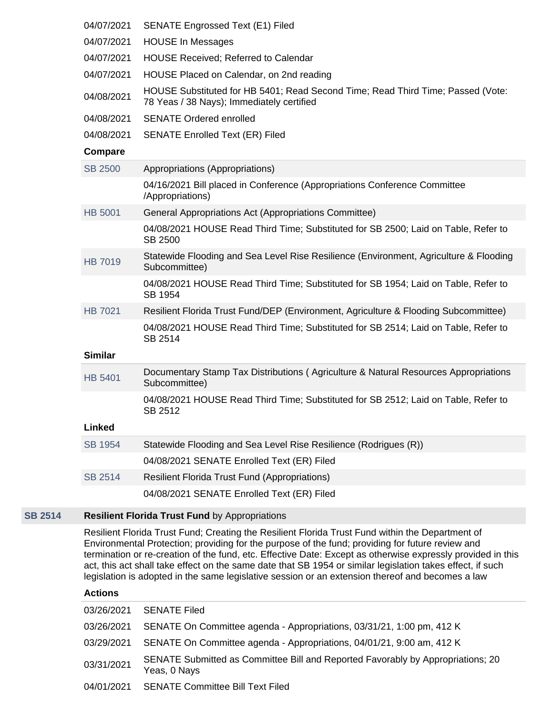| 04/07/2021     | <b>SENATE Engrossed Text (E1) Filed</b>                                                                                      |  |  |  |
|----------------|------------------------------------------------------------------------------------------------------------------------------|--|--|--|
| 04/07/2021     | <b>HOUSE In Messages</b>                                                                                                     |  |  |  |
| 04/07/2021     | <b>HOUSE Received; Referred to Calendar</b>                                                                                  |  |  |  |
| 04/07/2021     | HOUSE Placed on Calendar, on 2nd reading                                                                                     |  |  |  |
| 04/08/2021     | HOUSE Substituted for HB 5401; Read Second Time; Read Third Time; Passed (Vote:<br>78 Yeas / 38 Nays); Immediately certified |  |  |  |
| 04/08/2021     | <b>SENATE Ordered enrolled</b>                                                                                               |  |  |  |
| 04/08/2021     | <b>SENATE Enrolled Text (ER) Filed</b>                                                                                       |  |  |  |
| <b>Compare</b> |                                                                                                                              |  |  |  |
| <b>SB 2500</b> | Appropriations (Appropriations)                                                                                              |  |  |  |
|                | 04/16/2021 Bill placed in Conference (Appropriations Conference Committee<br>/Appropriations)                                |  |  |  |
| <b>HB 5001</b> | General Appropriations Act (Appropriations Committee)                                                                        |  |  |  |
|                | 04/08/2021 HOUSE Read Third Time; Substituted for SB 2500; Laid on Table, Refer to<br><b>SB 2500</b>                         |  |  |  |
| <b>HB 7019</b> | Statewide Flooding and Sea Level Rise Resilience (Environment, Agriculture & Flooding<br>Subcommittee)                       |  |  |  |
|                | 04/08/2021 HOUSE Read Third Time; Substituted for SB 1954; Laid on Table, Refer to<br>SB 1954                                |  |  |  |
| <b>HB 7021</b> | Resilient Florida Trust Fund/DEP (Environment, Agriculture & Flooding Subcommittee)                                          |  |  |  |
| <b>Similar</b> | 04/08/2021 HOUSE Read Third Time; Substituted for SB 2514; Laid on Table, Refer to<br>SB 2514                                |  |  |  |
|                |                                                                                                                              |  |  |  |
| <b>HB 5401</b> | Documentary Stamp Tax Distributions (Agriculture & Natural Resources Appropriations<br>Subcommittee)                         |  |  |  |
|                | 04/08/2021 HOUSE Read Third Time; Substituted for SB 2512; Laid on Table, Refer to<br>SB 2512                                |  |  |  |
| Linked         |                                                                                                                              |  |  |  |
| SB 1954        | Statewide Flooding and Sea Level Rise Resilience (Rodrigues (R))                                                             |  |  |  |
|                | 04/08/2021 SENATE Enrolled Text (ER) Filed                                                                                   |  |  |  |
| <b>SB 2514</b> | <b>Resilient Florida Trust Fund (Appropriations)</b>                                                                         |  |  |  |
|                | 04/08/2021 SENATE Enrolled Text (ER) Filed                                                                                   |  |  |  |
|                |                                                                                                                              |  |  |  |

# **[SB 2514](https://public.lobbytools.com/bills/59307) Resilient Florida Trust Fund** by Appropriations

Resilient Florida Trust Fund; Creating the Resilient Florida Trust Fund within the Department of Environmental Protection; providing for the purpose of the fund; providing for future review and termination or re-creation of the fund, etc. Effective Date: Except as otherwise expressly provided in this act, this act shall take effect on the same date that SB 1954 or similar legislation takes effect, if such legislation is adopted in the same legislative session or an extension thereof and becomes a law

| 03/26/2021 | <b>SENATE Filed</b>                                                                             |
|------------|-------------------------------------------------------------------------------------------------|
| 03/26/2021 | SENATE On Committee agenda - Appropriations, 03/31/21, 1:00 pm, 412 K                           |
| 03/29/2021 | SENATE On Committee agenda - Appropriations, 04/01/21, 9:00 am, 412 K                           |
| 03/31/2021 | SENATE Submitted as Committee Bill and Reported Favorably by Appropriations; 20<br>Yeas, 0 Nays |
| 04/01/2021 | <b>SENATE Committee Bill Text Filed</b>                                                         |
|            |                                                                                                 |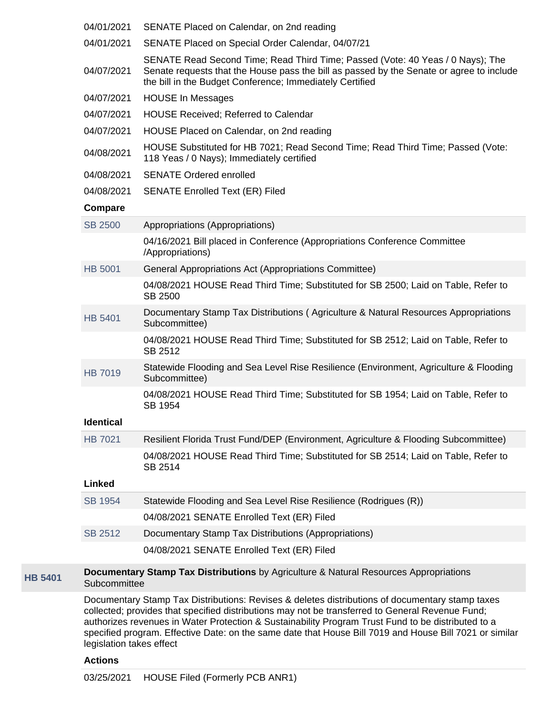|                | 04/01/2021       | SENATE Placed on Calendar, on 2nd reading                                                                                                                                                                                              |
|----------------|------------------|----------------------------------------------------------------------------------------------------------------------------------------------------------------------------------------------------------------------------------------|
|                | 04/01/2021       | SENATE Placed on Special Order Calendar, 04/07/21                                                                                                                                                                                      |
|                | 04/07/2021       | SENATE Read Second Time; Read Third Time; Passed (Vote: 40 Yeas / 0 Nays); The<br>Senate requests that the House pass the bill as passed by the Senate or agree to include<br>the bill in the Budget Conference; Immediately Certified |
|                | 04/07/2021       | <b>HOUSE In Messages</b>                                                                                                                                                                                                               |
|                | 04/07/2021       | <b>HOUSE Received; Referred to Calendar</b>                                                                                                                                                                                            |
|                | 04/07/2021       | HOUSE Placed on Calendar, on 2nd reading                                                                                                                                                                                               |
|                | 04/08/2021       | HOUSE Substituted for HB 7021; Read Second Time; Read Third Time; Passed (Vote:<br>118 Yeas / 0 Nays); Immediately certified                                                                                                           |
|                | 04/08/2021       | <b>SENATE Ordered enrolled</b>                                                                                                                                                                                                         |
|                | 04/08/2021       | <b>SENATE Enrolled Text (ER) Filed</b>                                                                                                                                                                                                 |
|                | Compare          |                                                                                                                                                                                                                                        |
|                | <b>SB 2500</b>   | Appropriations (Appropriations)                                                                                                                                                                                                        |
|                |                  | 04/16/2021 Bill placed in Conference (Appropriations Conference Committee<br>/Appropriations)                                                                                                                                          |
|                | <b>HB 5001</b>   | General Appropriations Act (Appropriations Committee)                                                                                                                                                                                  |
|                |                  | 04/08/2021 HOUSE Read Third Time; Substituted for SB 2500; Laid on Table, Refer to<br><b>SB 2500</b>                                                                                                                                   |
|                | <b>HB 5401</b>   | Documentary Stamp Tax Distributions (Agriculture & Natural Resources Appropriations<br>Subcommittee)                                                                                                                                   |
|                |                  | 04/08/2021 HOUSE Read Third Time; Substituted for SB 2512; Laid on Table, Refer to<br>SB 2512                                                                                                                                          |
|                | <b>HB 7019</b>   | Statewide Flooding and Sea Level Rise Resilience (Environment, Agriculture & Flooding<br>Subcommittee)                                                                                                                                 |
|                |                  | 04/08/2021 HOUSE Read Third Time; Substituted for SB 1954; Laid on Table, Refer to<br>SB 1954                                                                                                                                          |
|                | <b>Identical</b> |                                                                                                                                                                                                                                        |
|                | <b>HB 7021</b>   | Resilient Florida Trust Fund/DEP (Environment, Agriculture & Flooding Subcommittee)                                                                                                                                                    |
|                |                  | 04/08/2021 HOUSE Read Third Time; Substituted for SB 2514; Laid on Table, Refer to<br>SB 2514                                                                                                                                          |
|                | <b>Linked</b>    |                                                                                                                                                                                                                                        |
|                | <b>SB 1954</b>   | Statewide Flooding and Sea Level Rise Resilience (Rodrigues (R))                                                                                                                                                                       |
|                |                  | 04/08/2021 SENATE Enrolled Text (ER) Filed                                                                                                                                                                                             |
|                | <b>SB 2512</b>   | Documentary Stamp Tax Distributions (Appropriations)                                                                                                                                                                                   |
|                |                  | 04/08/2021 SENATE Enrolled Text (ER) Filed                                                                                                                                                                                             |
| <b>HB 5401</b> | Subcommittee     | Documentary Stamp Tax Distributions by Agriculture & Natural Resources Appropriations                                                                                                                                                  |

Documentary Stamp Tax Distributions: Revises & deletes distributions of documentary stamp taxes collected; provides that specified distributions may not be transferred to General Revenue Fund; authorizes revenues in Water Protection & Sustainability Program Trust Fund to be distributed to a specified program. Effective Date: on the same date that House Bill 7019 and House Bill 7021 or similar legislation takes effect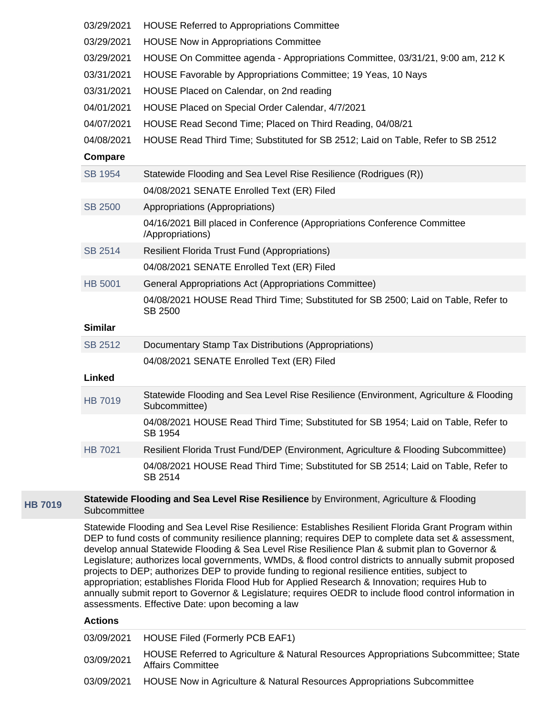|                | 03/29/2021     | <b>HOUSE Referred to Appropriations Committee</b>                                                                                                                                                                                                                                                                                                                                                                                                                                                                                                                                                                                                                                                                                                                                           |
|----------------|----------------|---------------------------------------------------------------------------------------------------------------------------------------------------------------------------------------------------------------------------------------------------------------------------------------------------------------------------------------------------------------------------------------------------------------------------------------------------------------------------------------------------------------------------------------------------------------------------------------------------------------------------------------------------------------------------------------------------------------------------------------------------------------------------------------------|
|                | 03/29/2021     | <b>HOUSE Now in Appropriations Committee</b>                                                                                                                                                                                                                                                                                                                                                                                                                                                                                                                                                                                                                                                                                                                                                |
|                | 03/29/2021     | HOUSE On Committee agenda - Appropriations Committee, 03/31/21, 9:00 am, 212 K                                                                                                                                                                                                                                                                                                                                                                                                                                                                                                                                                                                                                                                                                                              |
|                | 03/31/2021     | HOUSE Favorable by Appropriations Committee; 19 Yeas, 10 Nays                                                                                                                                                                                                                                                                                                                                                                                                                                                                                                                                                                                                                                                                                                                               |
|                | 03/31/2021     | HOUSE Placed on Calendar, on 2nd reading                                                                                                                                                                                                                                                                                                                                                                                                                                                                                                                                                                                                                                                                                                                                                    |
|                | 04/01/2021     | HOUSE Placed on Special Order Calendar, 4/7/2021                                                                                                                                                                                                                                                                                                                                                                                                                                                                                                                                                                                                                                                                                                                                            |
|                | 04/07/2021     | HOUSE Read Second Time; Placed on Third Reading, 04/08/21                                                                                                                                                                                                                                                                                                                                                                                                                                                                                                                                                                                                                                                                                                                                   |
|                | 04/08/2021     | HOUSE Read Third Time; Substituted for SB 2512; Laid on Table, Refer to SB 2512                                                                                                                                                                                                                                                                                                                                                                                                                                                                                                                                                                                                                                                                                                             |
|                | Compare        |                                                                                                                                                                                                                                                                                                                                                                                                                                                                                                                                                                                                                                                                                                                                                                                             |
|                | SB 1954        | Statewide Flooding and Sea Level Rise Resilience (Rodrigues (R))                                                                                                                                                                                                                                                                                                                                                                                                                                                                                                                                                                                                                                                                                                                            |
|                |                | 04/08/2021 SENATE Enrolled Text (ER) Filed                                                                                                                                                                                                                                                                                                                                                                                                                                                                                                                                                                                                                                                                                                                                                  |
|                | <b>SB 2500</b> | Appropriations (Appropriations)                                                                                                                                                                                                                                                                                                                                                                                                                                                                                                                                                                                                                                                                                                                                                             |
|                |                | 04/16/2021 Bill placed in Conference (Appropriations Conference Committee<br>/Appropriations)                                                                                                                                                                                                                                                                                                                                                                                                                                                                                                                                                                                                                                                                                               |
|                | <b>SB 2514</b> | <b>Resilient Florida Trust Fund (Appropriations)</b>                                                                                                                                                                                                                                                                                                                                                                                                                                                                                                                                                                                                                                                                                                                                        |
|                |                | 04/08/2021 SENATE Enrolled Text (ER) Filed                                                                                                                                                                                                                                                                                                                                                                                                                                                                                                                                                                                                                                                                                                                                                  |
|                | <b>HB 5001</b> | General Appropriations Act (Appropriations Committee)                                                                                                                                                                                                                                                                                                                                                                                                                                                                                                                                                                                                                                                                                                                                       |
|                |                | 04/08/2021 HOUSE Read Third Time; Substituted for SB 2500; Laid on Table, Refer to<br><b>SB 2500</b>                                                                                                                                                                                                                                                                                                                                                                                                                                                                                                                                                                                                                                                                                        |
|                | <b>Similar</b> |                                                                                                                                                                                                                                                                                                                                                                                                                                                                                                                                                                                                                                                                                                                                                                                             |
|                | SB 2512        | Documentary Stamp Tax Distributions (Appropriations)                                                                                                                                                                                                                                                                                                                                                                                                                                                                                                                                                                                                                                                                                                                                        |
|                | <b>Linked</b>  | 04/08/2021 SENATE Enrolled Text (ER) Filed                                                                                                                                                                                                                                                                                                                                                                                                                                                                                                                                                                                                                                                                                                                                                  |
|                |                | Statewide Flooding and Sea Level Rise Resilience (Environment, Agriculture & Flooding                                                                                                                                                                                                                                                                                                                                                                                                                                                                                                                                                                                                                                                                                                       |
|                | <b>HB 7019</b> | Subcommittee)                                                                                                                                                                                                                                                                                                                                                                                                                                                                                                                                                                                                                                                                                                                                                                               |
|                |                | 04/08/2021 HOUSE Read Third Time; Substituted for SB 1954; Laid on Table, Refer to<br>SB 1954                                                                                                                                                                                                                                                                                                                                                                                                                                                                                                                                                                                                                                                                                               |
|                | <b>HB 7021</b> | Resilient Florida Trust Fund/DEP (Environment, Agriculture & Flooding Subcommittee)                                                                                                                                                                                                                                                                                                                                                                                                                                                                                                                                                                                                                                                                                                         |
|                |                | 04/08/2021 HOUSE Read Third Time; Substituted for SB 2514; Laid on Table, Refer to<br>SB 2514                                                                                                                                                                                                                                                                                                                                                                                                                                                                                                                                                                                                                                                                                               |
| <b>HB 7019</b> | Subcommittee   | Statewide Flooding and Sea Level Rise Resilience by Environment, Agriculture & Flooding                                                                                                                                                                                                                                                                                                                                                                                                                                                                                                                                                                                                                                                                                                     |
|                |                | Statewide Flooding and Sea Level Rise Resilience: Establishes Resilient Florida Grant Program within<br>DEP to fund costs of community resilience planning; requires DEP to complete data set & assessment,<br>develop annual Statewide Flooding & Sea Level Rise Resilience Plan & submit plan to Governor &<br>Legislature; authorizes local governments, WMDs, & flood control districts to annually submit proposed<br>projects to DEP; authorizes DEP to provide funding to regional resilience entities, subject to<br>appropriation; establishes Florida Flood Hub for Applied Research & Innovation; requires Hub to<br>annually submit report to Governor & Legislature; requires OEDR to include flood control information in<br>assessments. Effective Date: upon becoming a law |

| 03/09/2021 | <b>HOUSE Filed (Formerly PCB EAF1)</b>                                                                    |
|------------|-----------------------------------------------------------------------------------------------------------|
| 03/09/2021 | HOUSE Referred to Agriculture & Natural Resources Appropriations Subcommittee; State<br>Affairs Committee |
| 03/09/2021 | HOUSE Now in Agriculture & Natural Resources Appropriations Subcommittee                                  |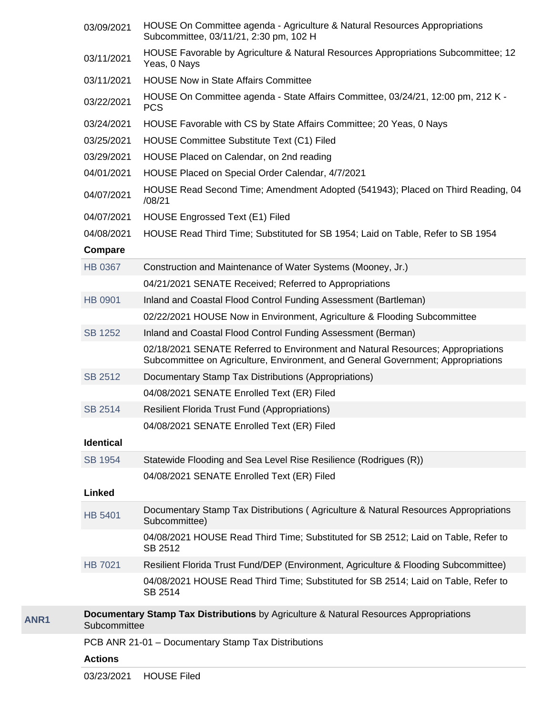|      | 03/09/2021       | HOUSE On Committee agenda - Agriculture & Natural Resources Appropriations<br>Subcommittee, 03/11/21, 2:30 pm, 102 H                                                |
|------|------------------|---------------------------------------------------------------------------------------------------------------------------------------------------------------------|
|      | 03/11/2021       | HOUSE Favorable by Agriculture & Natural Resources Appropriations Subcommittee; 12<br>Yeas, 0 Nays                                                                  |
|      | 03/11/2021       | <b>HOUSE Now in State Affairs Committee</b>                                                                                                                         |
|      | 03/22/2021       | HOUSE On Committee agenda - State Affairs Committee, 03/24/21, 12:00 pm, 212 K -<br><b>PCS</b>                                                                      |
|      | 03/24/2021       | HOUSE Favorable with CS by State Affairs Committee; 20 Yeas, 0 Nays                                                                                                 |
|      | 03/25/2021       | HOUSE Committee Substitute Text (C1) Filed                                                                                                                          |
|      | 03/29/2021       | HOUSE Placed on Calendar, on 2nd reading                                                                                                                            |
|      | 04/01/2021       | HOUSE Placed on Special Order Calendar, 4/7/2021                                                                                                                    |
|      | 04/07/2021       | HOUSE Read Second Time; Amendment Adopted (541943); Placed on Third Reading, 04<br>/08/21                                                                           |
|      | 04/07/2021       | <b>HOUSE Engrossed Text (E1) Filed</b>                                                                                                                              |
|      | 04/08/2021       | HOUSE Read Third Time; Substituted for SB 1954; Laid on Table, Refer to SB 1954                                                                                     |
|      | Compare          |                                                                                                                                                                     |
|      | HB 0367          | Construction and Maintenance of Water Systems (Mooney, Jr.)                                                                                                         |
|      |                  | 04/21/2021 SENATE Received; Referred to Appropriations                                                                                                              |
|      | <b>HB 0901</b>   | Inland and Coastal Flood Control Funding Assessment (Bartleman)                                                                                                     |
|      |                  | 02/22/2021 HOUSE Now in Environment, Agriculture & Flooding Subcommittee                                                                                            |
|      | <b>SB 1252</b>   | Inland and Coastal Flood Control Funding Assessment (Berman)                                                                                                        |
|      |                  | 02/18/2021 SENATE Referred to Environment and Natural Resources; Appropriations<br>Subcommittee on Agriculture, Environment, and General Government; Appropriations |
|      | <b>SB 2512</b>   | Documentary Stamp Tax Distributions (Appropriations)                                                                                                                |
|      |                  | 04/08/2021 SENATE Enrolled Text (ER) Filed                                                                                                                          |
|      | SB 2514          | <b>Resilient Florida Trust Fund (Appropriations)</b>                                                                                                                |
|      |                  | 04/08/2021 SENATE Enrolled Text (ER) Filed                                                                                                                          |
|      | <b>Identical</b> |                                                                                                                                                                     |
|      | <b>SB 1954</b>   | Statewide Flooding and Sea Level Rise Resilience (Rodrigues (R))                                                                                                    |
|      |                  | 04/08/2021 SENATE Enrolled Text (ER) Filed                                                                                                                          |
|      | <b>Linked</b>    |                                                                                                                                                                     |
|      | <b>HB 5401</b>   | Documentary Stamp Tax Distributions (Agriculture & Natural Resources Appropriations<br>Subcommittee)                                                                |
|      |                  | 04/08/2021 HOUSE Read Third Time; Substituted for SB 2512; Laid on Table, Refer to<br>SB 2512                                                                       |
|      | <b>HB 7021</b>   | Resilient Florida Trust Fund/DEP (Environment, Agriculture & Flooding Subcommittee)                                                                                 |
|      |                  | 04/08/2021 HOUSE Read Third Time; Substituted for SB 2514; Laid on Table, Refer to<br>SB 2514                                                                       |
| ANR1 | Subcommittee     | Documentary Stamp Tax Distributions by Agriculture & Natural Resources Appropriations                                                                               |
|      |                  | PCB ANR 21-01 - Documentary Stamp Tax Distributions                                                                                                                 |
|      | <b>Actions</b>   |                                                                                                                                                                     |
|      |                  |                                                                                                                                                                     |